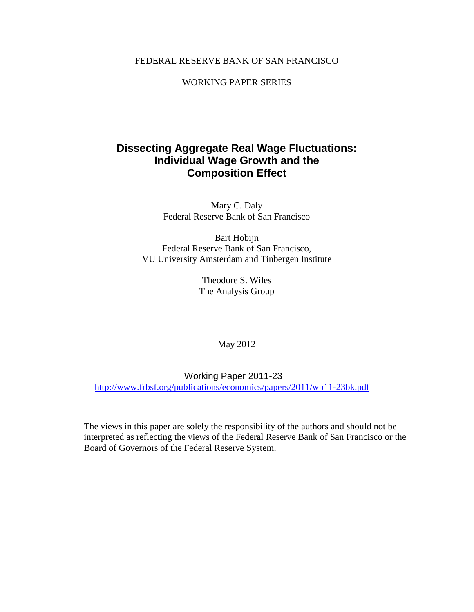### FEDERAL RESERVE BANK OF SAN FRANCISCO

WORKING PAPER SERIES

# **Dissecting Aggregate Real Wage Fluctuations: Individual Wage Growth and the Composition Effect**

Mary C. Daly Federal Reserve Bank of San Francisco

Bart Hobijn Federal Reserve Bank of San Francisco, VU University Amsterdam and Tinbergen Institute

> Theodore S. Wiles The Analysis Group

> > May 2012

Working Paper 2011-23 <http://www.frbsf.org/publications/economics/papers/2011/wp11-23bk.pdf>

The views in this paper are solely the responsibility of the authors and should not be interpreted as reflecting the views of the Federal Reserve Bank of San Francisco or the Board of Governors of the Federal Reserve System.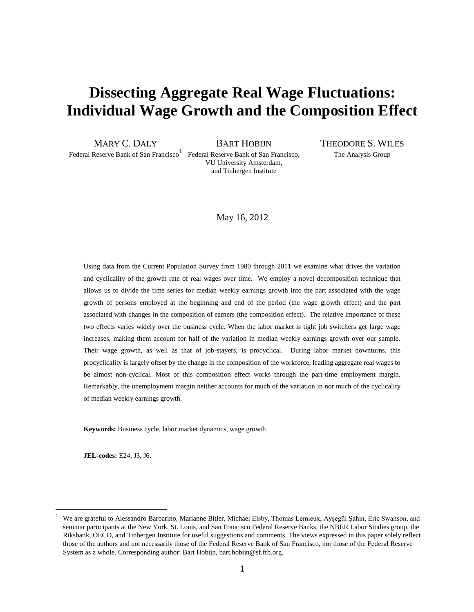# **Dissecting Aggregate Real Wage Fluctuations: Individual Wage Growth and the Composition Effect**

Federal Reserve Bank of San Francisco<sup>1</sup> Federal Reserve Bank of San Francisco, The Analysis Group

VU University Amsterdam, and Tinbergen Institute

MARY C. DALY **BART HOBIJN THEODORE S. WILES** 

#### May 16, 2012

Using data from the Current Population Survey from 1980 through 2011 we examine what drives the variation and cyclicality of the growth rate of real wages over time. We employ a novel decomposition technique that allows us to divide the time series for median weekly earnings growth into the part associated with the wage growth of persons employed at the beginning and end of the period (the wage growth effect) and the part associated with changes in the composition of earners (the composition effect). The relative importance of these two effects varies widely over the business cycle. When the labor market is tight job switchers get large wage increases, making them account for half of the variation in median weekly earnings growth over our sample. Their wage growth, as well as that of job-stayers, is procyclical. During labor market downturns, this procyclicality is largely offset by the change in the composition of the workforce, leading aggregate real wages to be almost non-cyclical. Most of this composition effect works through the part-time employment margin. Remarkably, the unemployment margin neither accounts for much of the variation in nor much of the cyclicality of median weekly earnings growth.

**Keywords:** Business cycle, labor market dynamics, wage growth.

**JEL-codes:** E24, J3, J6.

<sup>1</sup> We are grateful to Alessandro Barbarino, Marianne Bitler, Michael Elsby, Thomas Lemieux, Ayşegül Şahin, Eric Swanson, and seminar participants at the New York, St. Louis, and San Francisco Federal Reserve Banks, the NBER Labor Studies group, the Riksbank, OECD, and Tinbergen Institute for useful suggestions and comments. The views expressed in this paper solely reflect those of the authors and not necessarily those of the Federal Reserve Bank of San Francisco, nor those of the Federal Reserve System as a whole. Corresponding author: Bart Hobijn, bart.hobijn@sf.frb.org.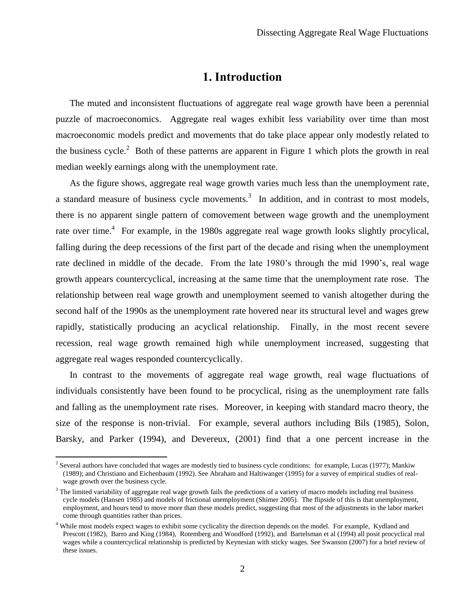# **1. Introduction**

The muted and inconsistent fluctuations of aggregate real wage growth have been a perennial puzzle of macroeconomics. Aggregate real wages exhibit less variability over time than most macroeconomic models predict and movements that do take place appear only modestly related to the business cycle.<sup>2</sup> Both of these patterns are apparent in Figure [1](#page-41-0) which plots the growth in real median weekly earnings along with the unemployment rate.

As the figure shows, aggregate real wage growth varies much less than the unemployment rate, a standard measure of business cycle movements.<sup>3</sup> In addition, and in contrast to most models, there is no apparent single pattern of comovement between wage growth and the unemployment rate over time.<sup>4</sup> For example, in the 1980s aggregate real wage growth looks slightly procylical, falling during the deep recessions of the first part of the decade and rising when the unemployment rate declined in middle of the decade. From the late 1980's through the mid 1990's, real wage growth appears countercyclical, increasing at the same time that the unemployment rate rose. The relationship between real wage growth and unemployment seemed to vanish altogether during the second half of the 1990s as the unemployment rate hovered near its structural level and wages grew rapidly, statistically producing an acyclical relationship. Finally, in the most recent severe recession, real wage growth remained high while unemployment increased, suggesting that aggregate real wages responded countercyclically.

In contrast to the movements of aggregate real wage growth, real wage fluctuations of individuals consistently have been found to be procyclical, rising as the unemployment rate falls and falling as the unemployment rate rises. Moreover, in keeping with standard macro theory, the size of the response is non-trivial. For example, several authors including Bils (1985), Solon, Barsky, and Parker (1994), and Devereux, (2001) find that a one percent increase in the

<sup>&</sup>lt;sup>2</sup> Several authors have concluded that wages are modestly tied to business cycle conditions: for example, Lucas (1977); Mankiw (1989); and Christiano and Eichenbaum (1992). See Abraham and Haltiwanger (1995) for a survey of empirical studies of realwage growth over the business cycle.

 $3$  The limited variability of aggregate real wage growth fails the predictions of a variety of macro models including real business cycle models (Hansen 1985) and models of frictional unemployment (Shimer 2005). The flipside of this is that unemployment, employment, and hours tend to move more than these models predict, suggesting that most of the adjustments in the labor market come through quantities rather than prices.

<sup>&</sup>lt;sup>4</sup> While most models expect wages to exhibit some cyclicality the direction depends on the model. For example, Kydland and Prescott (1982), Barro and King (1984), Rotemberg and Woodford (1992), and Bartelsman et al (1994) all posit procyclical real wages while a countercyclical relationship is predicted by Keynesian with sticky wages. See Swanson (2007) for a brief review of these issues.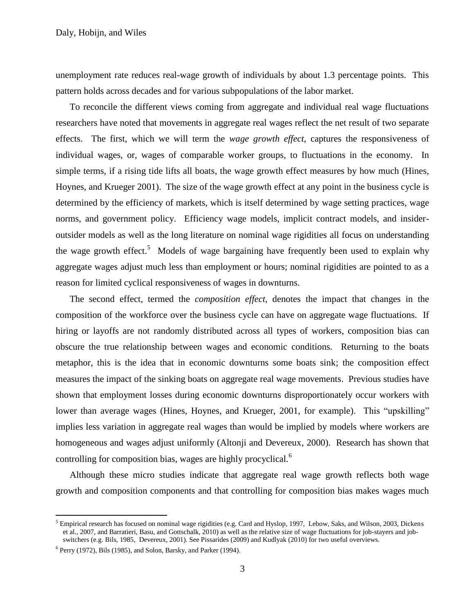unemployment rate reduces real-wage growth of individuals by about 1.3 percentage points. This pattern holds across decades and for various subpopulations of the labor market.

To reconcile the different views coming from aggregate and individual real wage fluctuations researchers have noted that movements in aggregate real wages reflect the net result of two separate effects. The first, which we will term the *wage growth effect*, captures the responsiveness of individual wages, or, wages of comparable worker groups, to fluctuations in the economy. In simple terms, if a rising tide lifts all boats, the wage growth effect measures by how much (Hines, Hoynes, and Krueger 2001). The size of the wage growth effect at any point in the business cycle is determined by the efficiency of markets, which is itself determined by wage setting practices, wage norms, and government policy. Efficiency wage models, implicit contract models, and insideroutsider models as well as the long literature on nominal wage rigidities all focus on understanding the wage growth effect.<sup>5</sup> Models of wage bargaining have frequently been used to explain why aggregate wages adjust much less than employment or hours; nominal rigidities are pointed to as a reason for limited cyclical responsiveness of wages in downturns.

The second effect, termed the *composition effect*, denotes the impact that changes in the composition of the workforce over the business cycle can have on aggregate wage fluctuations. If hiring or layoffs are not randomly distributed across all types of workers, composition bias can obscure the true relationship between wages and economic conditions. Returning to the boats metaphor, this is the idea that in economic downturns some boats sink; the composition effect measures the impact of the sinking boats on aggregate real wage movements. Previous studies have shown that employment losses during economic downturns disproportionately occur workers with lower than average wages (Hines, Hoynes, and Krueger, 2001, for example). This "upskilling" implies less variation in aggregate real wages than would be implied by models where workers are homogeneous and wages adjust uniformly (Altonji and Devereux, 2000). Research has shown that controlling for composition bias, wages are highly procyclical.<sup>6</sup>

Although these micro studies indicate that aggregate real wage growth reflects both wage growth and composition components and that controlling for composition bias makes wages much

 $<sup>5</sup>$  Empirical research has focused on nominal wage rigidities (e.g. Card and Hyslop, 1997, Lebow, Saks, and Wilson, 2003, Dickens</sup> et al., 2007, and Barratieri, Basu, and Gottschalk, 2010) as well as the relative size of wage fluctuations for job-stayers and jobswitchers (e.g. Bils, 1985, Devereux, 2001). See Pissarides (2009) and Kudlyak (2010) for two useful overviews.

<sup>&</sup>lt;sup>6</sup> Perry (1972), Bils (1985), and Solon, Barsky, and Parker (1994).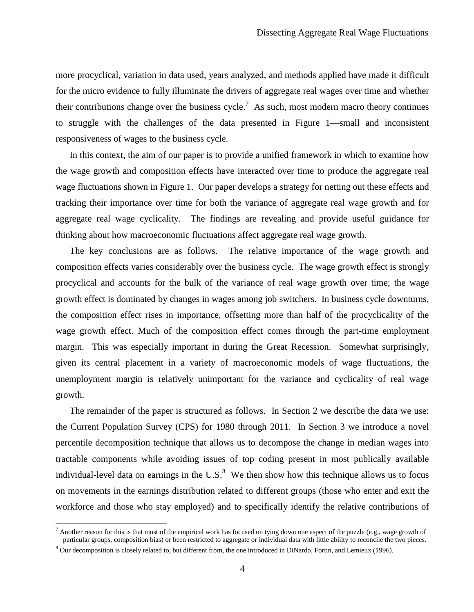more procyclical, variation in data used, years analyzed, and methods applied have made it difficult for the micro evidence to fully illuminate the drivers of aggregate real wages over time and whether their contributions change over the business cycle.<sup>7</sup> As such, most modern macro theory continues to struggle with the challenges of the data presented in Figure 1—small and inconsistent responsiveness of wages to the business cycle.

In this context, the aim of our paper is to provide a unified framework in which to examine how the wage growth and composition effects have interacted over time to produce the aggregate real wage fluctuations shown in Figure 1. Our paper develops a strategy for netting out these effects and tracking their importance over time for both the variance of aggregate real wage growth and for aggregate real wage cyclicality. The findings are revealing and provide useful guidance for thinking about how macroeconomic fluctuations affect aggregate real wage growth.

The key conclusions are as follows. The relative importance of the wage growth and composition effects varies considerably over the business cycle. The wage growth effect is strongly procyclical and accounts for the bulk of the variance of real wage growth over time; the wage growth effect is dominated by changes in wages among job switchers. In business cycle downturns, the composition effect rises in importance, offsetting more than half of the procyclicality of the wage growth effect. Much of the composition effect comes through the part-time employment margin. This was especially important in during the Great Recession. Somewhat surprisingly, given its central placement in a variety of macroeconomic models of wage fluctuations, the unemployment margin is relatively unimportant for the variance and cyclicality of real wage growth.

The remainder of the paper is structured as follows. In Section [2](#page-5-0) we describe the data we use: the Current Population Survey (CPS) for 1980 through 2011. In Section 3 we introduce a novel percentile decomposition technique that allows us to decompose the change in median wages into tractable components while avoiding issues of top coding present in most publically available individual-level data on earnings in the U.S. $<sup>8</sup>$  We then show how this technique allows us to focus</sup> on movements in the earnings distribution related to different groups (those who enter and exit the workforce and those who stay employed) and to specifically identify the relative contributions of

 $^7$  Another reason for this is that most of the empirical work has focused on tying down one aspect of the puzzle (e.g., wage growth of particular groups, composition bias) or been restricted to aggregate or individual data with little ability to reconcile the two pieces.

<sup>&</sup>lt;sup>8</sup> Our decomposition is closely related to, but different from, the one introduced in DiNardo, Fortin, and Lemieux (1996).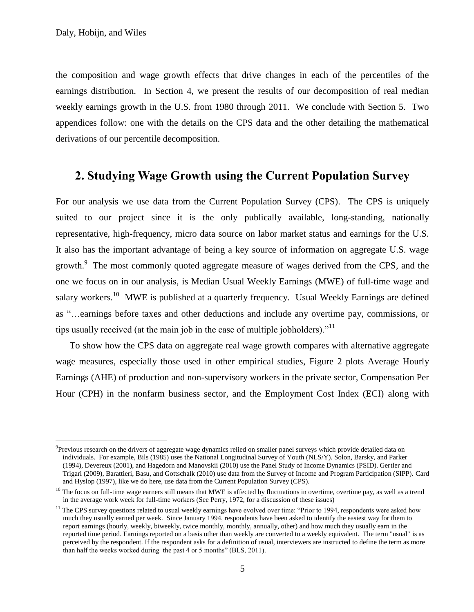$\overline{a}$ 

the composition and wage growth effects that drive changes in each of the percentiles of the earnings distribution. In Section 4, we present the results of our decomposition of real median weekly earnings growth in the U.S. from 1980 through 2011. We conclude with Section 5. Two appendices follow: one with the details on the CPS data and the other detailing the mathematical derivations of our percentile decomposition.

# <span id="page-5-0"></span>**2. Studying Wage Growth using the Current Population Survey**

For our analysis we use data from the Current Population Survey (CPS). The CPS is uniquely suited to our project since it is the only publically available, long-standing, nationally representative, high-frequency, micro data source on labor market status and earnings for the U.S. It also has the important advantage of being a key source of information on aggregate U.S. wage growth.<sup>9</sup> The most commonly quoted aggregate measure of wages derived from the CPS, and the one we focus on in our analysis, is Median Usual Weekly Earnings (MWE) of full-time wage and salary workers.<sup>10</sup> MWE is published at a quarterly frequency. Usual Weekly Earnings are defined as "…earnings before taxes and other deductions and include any overtime pay, commissions, or tips usually received (at the main job in the case of multiple jobholders).<sup>"11</sup>

To show how the CPS data on aggregate real wage growth compares with alternative aggregate wage measures, especially those used in other empirical studies, Figure [2](#page-41-1) plots Average Hourly Earnings (AHE) of production and non-supervisory workers in the private sector, Compensation Per Hour (CPH) in the nonfarm business sector, and the Employment Cost Index (ECI) along with

<sup>&</sup>lt;sup>9</sup>Previous research on the drivers of aggregate wage dynamics relied on smaller panel surveys which provide detailed data on individuals. For example, Bils (1985) uses the National Longitudinal Survey of Youth (NLS/Y). Solon, Barsky, and Parker (1994), Devereux (2001), and Hagedorn and Manovskii (2010) use the Panel Study of Income Dynamics (PSID). Gertler and Trigari (2009), Barattieri, Basu, and Gottschalk (2010) use data from the Survey of Income and Program Participation (SIPP). Card and Hyslop (1997), like we do here, use data from the Current Population Survey (CPS).

<sup>&</sup>lt;sup>10</sup> The focus on full-time wage earners still means that MWE is affected by fluctuations in overtime, overtime pay, as well as a trend in the average work week for full-time workers (See Perry, 1972, for a discussion of these issues)

 $11$  The CPS survey questions related to usual weekly earnings have evolved over time: "Prior to 1994, respondents were asked how much they usually earned per week. Since January 1994, respondents have been asked to identify the easiest way for them to report earnings (hourly, weekly, biweekly, twice monthly, monthly, annually, other) and how much they usually earn in the reported time period. Earnings reported on a basis other than weekly are converted to a weekly equivalent. The term "usual" is as perceived by the respondent. If the respondent asks for a definition of usual, interviewers are instructed to define the term as more than half the weeks worked during the past 4 or 5 months" (BLS, 2011).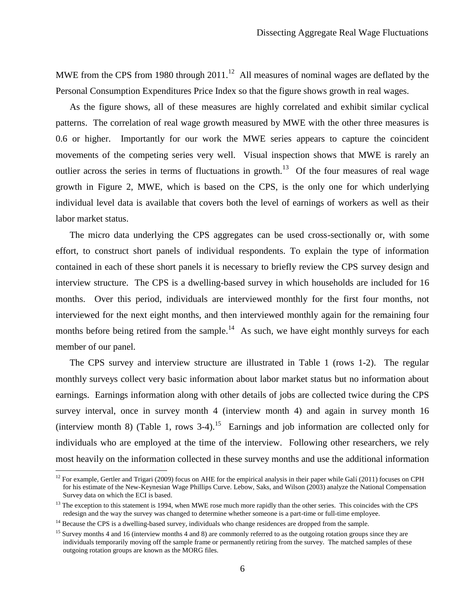MWE from the CPS from 1980 through  $2011<sup>12</sup>$  All measures of nominal wages are deflated by the Personal Consumption Expenditures Price Index so that the figure shows growth in real wages.

As the figure shows, all of these measures are highly correlated and exhibit similar cyclical patterns. The correlation of real wage growth measured by MWE with the other three measures is 0.6 or higher. Importantly for our work the MWE series appears to capture the coincident movements of the competing series very well. Visual inspection shows that MWE is rarely an outlier across the series in terms of fluctuations in growth.<sup>13</sup> Of the four measures of real wage growth in Figure [2,](#page-41-1) MWE, which is based on the CPS, is the only one for which underlying individual level data is available that covers both the level of earnings of workers as well as their labor market status.

The micro data underlying the CPS aggregates can be used cross-sectionally or, with some effort, to construct short panels of individual respondents. To explain the type of information contained in each of these short panels it is necessary to briefly review the CPS survey design and interview structure. The CPS is a dwelling-based survey in which households are included for 16 months. Over this period, individuals are interviewed monthly for the first four months, not interviewed for the next eight months, and then interviewed monthly again for the remaining four months before being retired from the sample.<sup>14</sup> As such, we have eight monthly surveys for each member of our panel.

The CPS survey and interview structure are illustrated in Table [1](#page-37-0) (rows 1-2). The regular monthly surveys collect very basic information about labor market status but no information about earnings. Earnings information along with other details of jobs are collected twice during the CPS survey interval, once in survey month 4 (interview month 4) and again in survey month 16 (interview month 8) (Table [1,](#page-37-0) rows  $3-4$ ).<sup>15</sup> Earnings and job information are collected only for individuals who are employed at the time of the interview. Following other researchers, we rely most heavily on the information collected in these survey months and use the additional information

<sup>&</sup>lt;sup>12</sup> For example, Gertler and Trigari (2009) focus on AHE for the empirical analysis in their paper while Galí (2011) focuses on CPH for his estimate of the New-Keynesian Wage Phillips Curve. Lebow, Saks, and Wilson (2003) analyze the National Compensation Survey data on which the ECI is based.

 $13$  The exception to this statement is 1994, when MWE rose much more rapidly than the other series. This coincides with the CPS redesign and the way the survey was changed to determine whether someone is a part-time or full-time employee.

<sup>&</sup>lt;sup>14</sup> Because the CPS is a dwelling-based survey, individuals who change residences are dropped from the sample.

<sup>&</sup>lt;sup>15</sup> Survey months 4 and 16 (interview months 4 and 8) are commonly referred to as the outgoing rotation groups since they are individuals temporarily moving off the sample frame or permanently retiring from the survey. The matched samples of these outgoing rotation groups are known as the MORG files.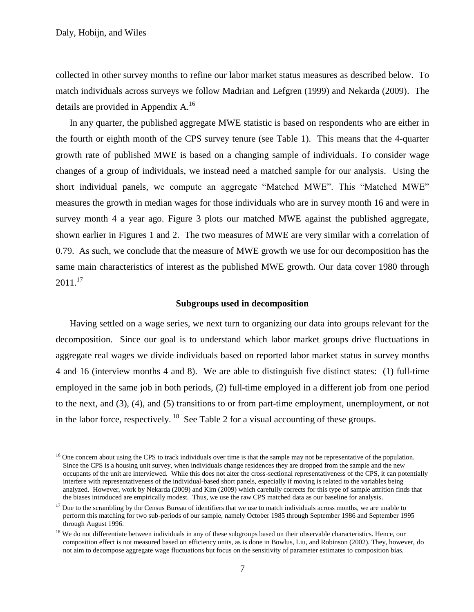Daly, Hobijn, and Wiles

 $\overline{a}$ 

collected in other survey months to refine our labor market status measures as described below. To match individuals across surveys we follow Madrian and Lefgren (1999) and Nekarda (2009). The details are provided in Appendix [A.](#page-28-0)<sup>16</sup>

In any quarter, the published aggregate MWE statistic is based on respondents who are either in the fourth or eighth month of the CPS survey tenure (see Table [1\)](#page-37-0). This means that the 4-quarter growth rate of published MWE is based on a changing sample of individuals. To consider wage changes of a group of individuals, we instead need a matched sample for our analysis. Using the short individual panels, we compute an aggregate "Matched MWE". This "Matched MWE" measures the growth in median wages for those individuals who are in survey month 16 and were in survey month 4 a year ago. Figure [3](#page-42-0) plots our matched MWE against the published aggregate, shown earlier in Figures [1](#page-41-0) and [2.](#page-41-1) The two measures of MWE are very similar with a correlation of 0.79. As such, we conclude that the measure of MWE growth we use for our decomposition has the same main characteristics of interest as the published MWE growth. Our data cover 1980 through  $2011.<sup>17</sup>$ 

#### **Subgroups used in decomposition**

Having settled on a wage series, we next turn to organizing our data into groups relevant for the decomposition. Since our goal is to understand which labor market groups drive fluctuations in aggregate real wages we divide individuals based on reported labor market status in survey months 4 and 16 (interview months 4 and 8). We are able to distinguish five distinct states: (1) full-time employed in the same job in both periods, (2) full-time employed in a different job from one period to the next, and (3), (4), and (5) transitions to or from part-time employment, unemployment, or not in the labor force, respectively. <sup>18</sup> See Table [2](#page-38-0) for a visual accounting of these groups.

 $<sup>16</sup>$  One concern about using the CPS to track individuals over time is that the sample may not be representative of the population.</sup> Since the CPS is a housing unit survey, when individuals change residences they are dropped from the sample and the new occupants of the unit are interviewed. While this does not alter the cross-sectional representativeness of the CPS, it can potentially interfere with representativeness of the individual-based short panels, especially if moving is related to the variables being analyzed. However, work by Nekarda (2009) and Kim (2009) which carefully corrects for this type of sample attrition finds that the biases introduced are empirically modest. Thus, we use the raw CPS matched data as our baseline for analysis.

 $17$  Due to the scrambling by the Census Bureau of identifiers that we use to match individuals across months, we are unable to perform this matching for two sub-periods of our sample, namely October 1985 through September 1986 and September 1995 through August 1996.

<sup>&</sup>lt;sup>18</sup> We do not differentiate between individuals in any of these subgroups based on their observable characteristics. Hence, our composition effect is not measured based on efficiency units, as is done in Bowlus, Liu, and Robinson (2002). They, however, do not aim to decompose aggregate wage fluctuations but focus on the sensitivity of parameter estimates to composition bias.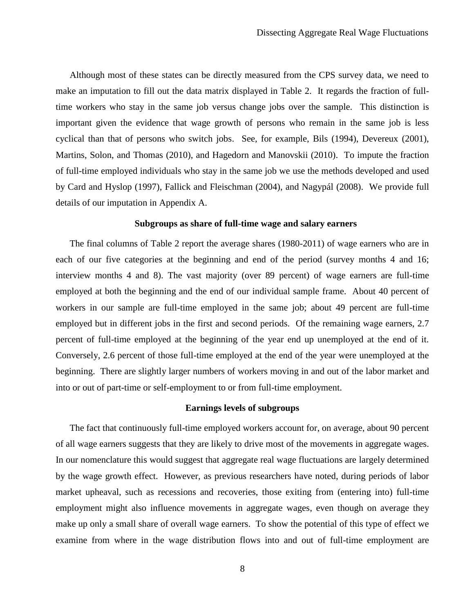Although most of these states can be directly measured from the CPS survey data, we need to make an imputation to fill out the data matrix displayed in Table [2.](#page-38-0) It regards the fraction of fulltime workers who stay in the same job versus change jobs over the sample. This distinction is important given the evidence that wage growth of persons who remain in the same job is less cyclical than that of persons who switch jobs. See, for example, Bils (1994), Devereux (2001), Martins, Solon, and Thomas (2010), and Hagedorn and Manovskii (2010). To impute the fraction of full-time employed individuals who stay in the same job we use the methods developed and used by Card and Hyslop (1997), Fallick and Fleischman (2004), and Nagypál (2008). We provide full details of our imputation in Appendix [A.](#page-28-0)

#### **Subgroups as share of full-time wage and salary earners**

The final columns of Table [2](#page-38-0) report the average shares (1980-2011) of wage earners who are in each of our five categories at the beginning and end of the period (survey months 4 and 16; interview months 4 and 8). The vast majority (over 89 percent) of wage earners are full-time employed at both the beginning and the end of our individual sample frame. About 40 percent of workers in our sample are full-time employed in the same job; about 49 percent are full-time employed but in different jobs in the first and second periods. Of the remaining wage earners, 2.7 percent of full-time employed at the beginning of the year end up unemployed at the end of it. Conversely, 2.6 percent of those full-time employed at the end of the year were unemployed at the beginning. There are slightly larger numbers of workers moving in and out of the labor market and into or out of part-time or self-employment to or from full-time employment.

### **Earnings levels of subgroups**

The fact that continuously full-time employed workers account for, on average, about 90 percent of all wage earners suggests that they are likely to drive most of the movements in aggregate wages. In our nomenclature this would suggest that aggregate real wage fluctuations are largely determined by the wage growth effect. However, as previous researchers have noted, during periods of labor market upheaval, such as recessions and recoveries, those exiting from (entering into) full-time employment might also influence movements in aggregate wages, even though on average they make up only a small share of overall wage earners. To show the potential of this type of effect we examine from where in the wage distribution flows into and out of full-time employment are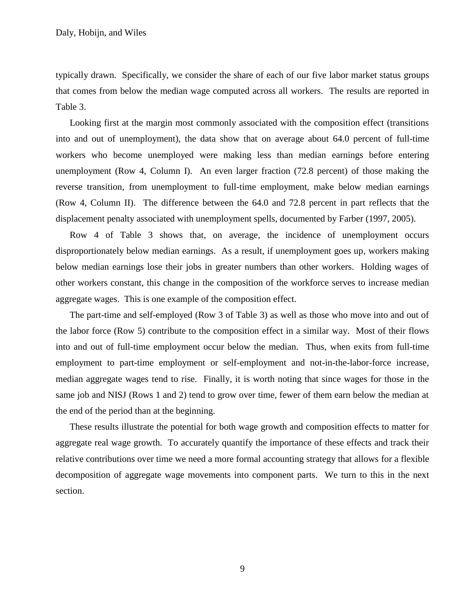typically drawn. Specifically, we consider the share of each of our five labor market status groups that comes from below the median wage computed across all workers. The results are reported in Table [3.](#page-39-0)

Looking first at the margin most commonly associated with the composition effect (transitions into and out of unemployment), the data show that on average about 64.0 percent of full-time workers who become unemployed were making less than median earnings before entering unemployment (Row 4, Column I). An even larger fraction (72.8 percent) of those making the reverse transition, from unemployment to full-time employment, make below median earnings (Row 4, Column II). The difference between the 64.0 and 72.8 percent in part reflects that the displacement penalty associated with unemployment spells, documented by Farber (1997, 2005).

Row 4 of Table [3](#page-39-0) shows that, on average, the incidence of unemployment occurs disproportionately below median earnings. As a result, if unemployment goes up, workers making below median earnings lose their jobs in greater numbers than other workers. Holding wages of other workers constant, this change in the composition of the workforce serves to increase median aggregate wages. This is one example of the composition effect.

The part-time and self-employed (Row 3 of Table [3\)](#page-39-0) as well as those who move into and out of the labor force (Row 5) contribute to the composition effect in a similar way. Most of their flows into and out of full-time employment occur below the median. Thus, when exits from full-time employment to part-time employment or self-employment and not-in-the-labor-force increase, median aggregate wages tend to rise. Finally, it is worth noting that since wages for those in the same job and NISJ (Rows 1 and 2) tend to grow over time, fewer of them earn below the median at the end of the period than at the beginning.

These results illustrate the potential for both wage growth and composition effects to matter for aggregate real wage growth. To accurately quantify the importance of these effects and track their relative contributions over time we need a more formal accounting strategy that allows for a flexible decomposition of aggregate wage movements into component parts. We turn to this in the next section.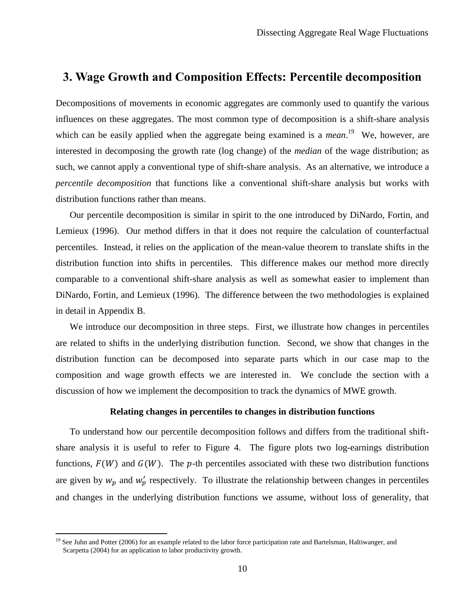# **3. Wage Growth and Composition Effects: Percentile decomposition**

Decompositions of movements in economic aggregates are commonly used to quantify the various influences on these aggregates. The most common type of decomposition is a shift-share analysis which can be easily applied when the aggregate being examined is a *mean*.<sup>19</sup> We, however, are interested in decomposing the growth rate (log change) of the *median* of the wage distribution; as such, we cannot apply a conventional type of shift-share analysis. As an alternative, we introduce a *percentile decomposition* that functions like a conventional shift-share analysis but works with distribution functions rather than means.

Our percentile decomposition is similar in spirit to the one introduced by DiNardo, Fortin, and Lemieux (1996). Our method differs in that it does not require the calculation of counterfactual percentiles. Instead, it relies on the application of the mean-value theorem to translate shifts in the distribution function into shifts in percentiles. This difference makes our method more directly comparable to a conventional shift-share analysis as well as somewhat easier to implement than DiNardo, Fortin, and Lemieux (1996). The difference between the two methodologies is explained in detail in Appendix [B.](#page-33-0)

We introduce our decomposition in three steps. First, we illustrate how changes in percentiles are related to shifts in the underlying distribution function. Second, we show that changes in the distribution function can be decomposed into separate parts which in our case map to the composition and wage growth effects we are interested in. We conclude the section with a discussion of how we implement the decomposition to track the dynamics of MWE growth.

### **Relating changes in percentiles to changes in distribution functions**

To understand how our percentile decomposition follows and differs from the traditional shiftshare analysis it is useful to refer to Figure [4.](#page-43-0) The figure plots two log-earnings distribution functions,  $F(W)$  and  $G(W)$ . The p-th percentiles associated with these two distribution functions are given by  $w_p$  and  $w'_p$  respectively. To illustrate the relationship between changes in percentiles and changes in the underlying distribution functions we assume, without loss of generality, that

<sup>&</sup>lt;sup>19</sup> See Juhn and Potter (2006) for an example related to the labor force participation rate and Bartelsman, Haltiwanger, and Scarpetta (2004) for an application to labor productivity growth.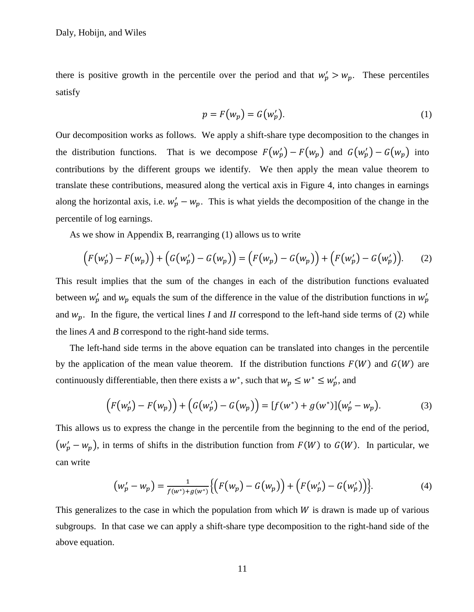there is positive growth in the percentile over the period and that  $w'_p > w_p$ . These percentiles satisfy

<span id="page-11-1"></span><span id="page-11-0"></span>
$$
p = F(w_p) = G(w_p').
$$
 (1)

Our decomposition works as follows. We apply a shift-share type decomposition to the changes in the distribution functions. That is we decompose  $F(w'_p) - F(w_p)$  and  $G(w'_p) - G(w_p)$  into contributions by the different groups we identify. We then apply the mean value theorem to translate these contributions, measured along the vertical axis in Figure [4,](#page-43-0) into changes in earnings along the horizontal axis, i.e.  $w'_p - w_p$ . This is what yields the decomposition of the change in the percentile of log earnings.

As we show in Appendix [B,](#page-33-0) rearranging [\(1\)](#page-11-0) allows us to write

$$
(F(w_p') - F(w_p)) + (G(w_p') - G(w_p)) = (F(w_p) - G(w_p)) + (F(w_p') - G(w_p')).
$$
 (2)

This result implies that the sum of the changes in each of the distribution functions evaluated between  $w'_p$  and  $w_p$  equals the sum of the difference in the value of the distribution functions in  $w'_p$ and  $w_p$ . In the figure, the vertical lines *I* and *II* correspond to the left-hand side terms of [\(2\)](#page-11-1) while the lines *A* and *B* correspond to the right-hand side terms.

The left-hand side terms in the above equation can be translated into changes in the percentile by the application of the mean value theorem. If the distribution functions  $F(W)$  and  $G(W)$  are continuously differentiable, then there exists a  $w^*$ , such that  $w_n \leq w^* \leq w'_n$ , and

$$
(F(w_p') - F(w_p)) + (G(w_p') - G(w_p)) = [f(w^*) + g(w^*)](w_p' - w_p).
$$
 (3)

This allows us to express the change in the percentile from the beginning to the end of the period,  $(w'_p - w_p)$ , in terms of shifts in the distribution function from  $F(W)$  to  $G(W)$ . In particular, we can write

$$
\left(w_p' - w_p\right) = \frac{1}{f(w^*) + g(w^*)} \Big\{ \Big( F(w_p) - G(w_p) \Big) + \Big( F(w_p') - G(w_p') \Big) \Big\}. \tag{4}
$$

This generalizes to the case in which the population from which  $W$  is drawn is made up of various subgroups. In that case we can apply a shift-share type decomposition to the right-hand side of the above equation.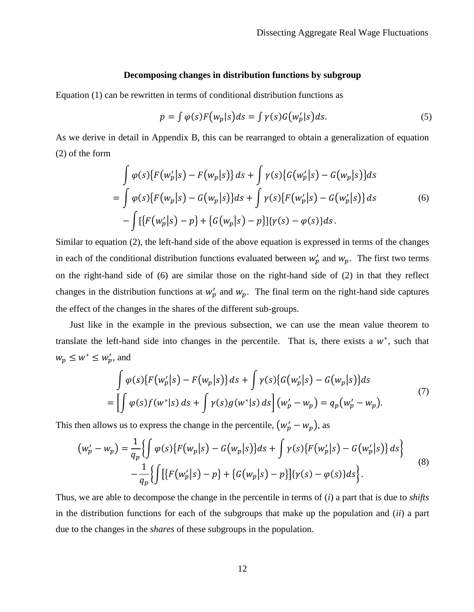### **Decomposing changes in distribution functions by subgroup**

Equation [\(1\)](#page-11-0) can be rewritten in terms of conditional distribution functions as

<span id="page-12-0"></span>
$$
p = \int \varphi(s) F(w_p|s) ds = \int \gamma(s) G(w_p'|s) ds. \tag{5}
$$

As we derive in detail in Appendix [B,](#page-33-0) this can be rearranged to obtain a generalization of equation [\(2\)](#page-11-1) of the form

$$
\int \varphi(s) \{ F(w'_p|s) - F(w_p|s) \} ds + \int \gamma(s) \{ G(w'_p|s) - G(w_p|s) \} ds \n= \int \varphi(s) \{ F(w_p|s) - G(w_p|s) \} ds + \int \gamma(s) \{ F(w'_p|s) - G(w'_p|s) \} ds \n- \int [\{ F(w'_p|s) - p \} + \{ G(w_p|s) - p \} ] \{ \gamma(s) - \varphi(s) \} ds.
$$
\n(6)

Similar to equation [\(2\),](#page-11-1) the left-hand side of the above equation is expressed in terms of the changes in each of the conditional distribution functions evaluated between  $w'_p$  and  $w_p$ . The first two terms on the right-hand side of [\(6\)](#page-12-0) are similar those on the right-hand side of [\(2\)](#page-11-1) in that they reflect changes in the distribution functions at  $w'_p$  and  $w_p$ . The final term on the right-hand side captures the effect of the changes in the shares of the different sub-groups.

Just like in the example in the previous subsection, we can use the mean value theorem to translate the left-hand side into changes in the percentile. That is, there exists a  $w^*$ , such that  $w_p \leq w^* \leq w'_p$ , and

<span id="page-12-1"></span>
$$
\int \varphi(s)\{F(w'_p|s) - F(w_p|s)\} ds + \int \gamma(s)\{G(w'_p|s) - G(w_p|s)\} ds
$$
  
= 
$$
\left[\int \varphi(s)f(w^*|s) ds + \int \gamma(s)g(w^*|s) ds\right](w'_p - w_p) = q_p(w'_p - w_p).
$$
 (7)

This then allows us to express the change in the percentile,  $(w'_p - w_p)$ , as

$$
(w_p' - w_p) = \frac{1}{q_p} \{ \int \varphi(s) \{ F(w_p|s) - G(w_p|s) \} ds + \int \gamma(s) \{ F(w_p'|s) - G(w_p'|s) \} ds \} - \frac{1}{q_p} \{ \int \left[ \{ F(w_p'|s) - p \} + \{ G(w_p|s) - p \} \right] \{ \gamma(s) - \varphi(s) \} ds \}.
$$
\n(8)

Thus, we are able to decompose the change in the percentile in terms of (*i*) a part that is due to *shifts* in the distribution functions for each of the subgroups that make up the population and (*ii*) a part due to the changes in the *shares* of these subgroups in the population.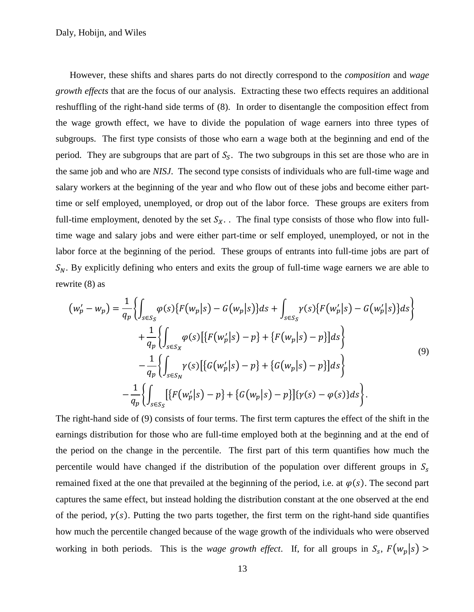However, these shifts and shares parts do not directly correspond to the *composition* and *wage growth effects* that are the focus of our analysis. Extracting these two effects requires an additional reshuffling of the right-hand side terms of [\(8\).](#page-12-1) In order to disentangle the composition effect from the wage growth effect, we have to divide the population of wage earners into three types of subgroups. The first type consists of those who earn a wage both at the beginning and end of the period. They are subgroups that are part of  $S<sub>S</sub>$ . The two subgroups in this set are those who are in the same job and who are *NISJ*. The second type consists of individuals who are full-time wage and salary workers at the beginning of the year and who flow out of these jobs and become either parttime or self employed, unemployed, or drop out of the labor force. These groups are exiters from full-time employment, denoted by the set  $S_X$ . The final type consists of those who flow into fulltime wage and salary jobs and were either part-time or self employed, unemployed, or not in the labor force at the beginning of the period. These groups of entrants into full-time jobs are part of  $S_N$ . By explicitly defining who enters and exits the group of full-time wage earners we are able to rewrite [\(8\)](#page-12-1) as

<span id="page-13-0"></span>
$$
(w'_{p} - w_{p}) = \frac{1}{q_{p}} \Biggl\{ \int_{s \in S_{S}} \varphi(s) \{ F(w_{p}|s) - G(w_{p}|s) \} ds + \int_{s \in S_{S}} \gamma(s) \{ F(w'_{p}|s) - G(w'_{p}|s) \} ds \Biggr\} + \frac{1}{q_{p}} \Biggl\{ \int_{s \in S_{X}} \varphi(s) \left[ \{ F(w'_{p}|s) - p \} + \{ F(w_{p}|s) - p \} \right] ds \Biggr\} - \frac{1}{q_{p}} \Biggl\{ \int_{s \in S_{N}} \gamma(s) \left[ \{ G(w'_{p}|s) - p \} + \{ G(w_{p}|s) - p \} \right] ds \Biggr\} - \frac{1}{q_{p}} \Biggl\{ \int_{s \in S_{S}} \left[ \{ F(w'_{p}|s) - p \} + \{ G(w_{p}|s) - p \} \right] \{ \gamma(s) - \varphi(s) \} ds \Biggr\}.
$$
\n(9)

The right-hand side of [\(9\)](#page-13-0) consists of four terms. The first term captures the effect of the shift in the earnings distribution for those who are full-time employed both at the beginning and at the end of the period on the change in the percentile. The first part of this term quantifies how much the percentile would have changed if the distribution of the population over different groups in  $S_s$ remained fixed at the one that prevailed at the beginning of the period, i.e. at  $\varphi(s)$ . The second part captures the same effect, but instead holding the distribution constant at the one observed at the end of the period,  $\gamma(s)$ . Putting the two parts together, the first term on the right-hand side quantifies how much the percentile changed because of the wage growth of the individuals who were observed working in both periods. This is the *wage growth effect*. If, for all groups in  $S_s$ ,  $F(w_n|s)$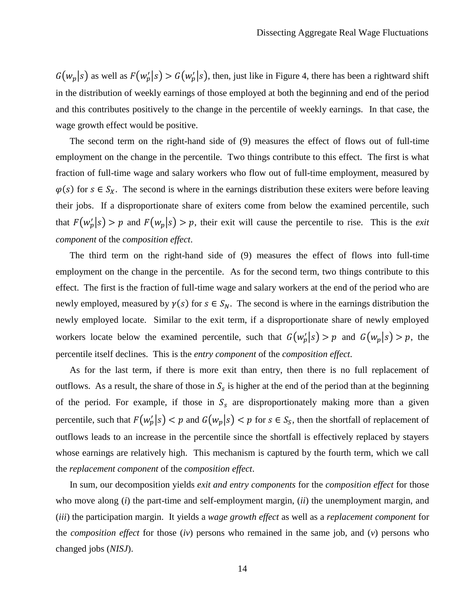$G(w_p | s)$  as well as  $F(w'_p | s) > G(w'_p | s)$ , then, just like in Figure [4,](#page-43-0) there has been a rightward shift in the distribution of weekly earnings of those employed at both the beginning and end of the period and this contributes positively to the change in the percentile of weekly earnings. In that case, the wage growth effect would be positive.

The second term on the right-hand side of [\(9\)](#page-13-0) measures the effect of flows out of full-time employment on the change in the percentile. Two things contribute to this effect. The first is what fraction of full-time wage and salary workers who flow out of full-time employment, measured by  $\varphi(s)$  for  $s \in S_X$ . The second is where in the earnings distribution these exiters were before leaving their jobs. If a disproportionate share of exiters come from below the examined percentile, such that  $F(w'_n|s) > p$  and  $F(w_n|s) > p$ , their exit will cause the percentile to rise. This is the *exit component* of the *composition effect*.

The third term on the right-hand side of [\(9\)](#page-13-0) measures the effect of flows into full-time employment on the change in the percentile. As for the second term, two things contribute to this effect. The first is the fraction of full-time wage and salary workers at the end of the period who are newly employed, measured by  $\gamma(s)$  for  $s \in S_N$ . The second is where in the earnings distribution the newly employed locate. Similar to the exit term, if a disproportionate share of newly employed workers locate below the examined percentile, such that  $G(w'_p|s) > p$  and  $G(w_p|s) > p$ , the percentile itself declines. This is the *entry component* of the *composition effect*.

As for the last term, if there is more exit than entry, then there is no full replacement of outflows. As a result, the share of those in  $S_s$  is higher at the end of the period than at the beginning of the period. For example, if those in  $S<sub>s</sub>$  are disproportionately making more than a given percentile, such that  $F(w'_b|s) < p$  and  $G(w_b|s) < p$  for  $s \in S_s$ , then the shortfall of replacement of outflows leads to an increase in the percentile since the shortfall is effectively replaced by stayers whose earnings are relatively high. This mechanism is captured by the fourth term, which we call the *replacement component* of the *composition effect*.

In sum, our decomposition yields *exit and entry components* for the *composition effect* for those who move along (*i*) the part-time and self-employment margin, (*ii*) the unemployment margin, and (*iii*) the participation margin. It yields a *wage growth effect* as well as a *replacement component* for the *composition effect* for those (*iv*) persons who remained in the same job, and (*v*) persons who changed jobs (*NISJ*).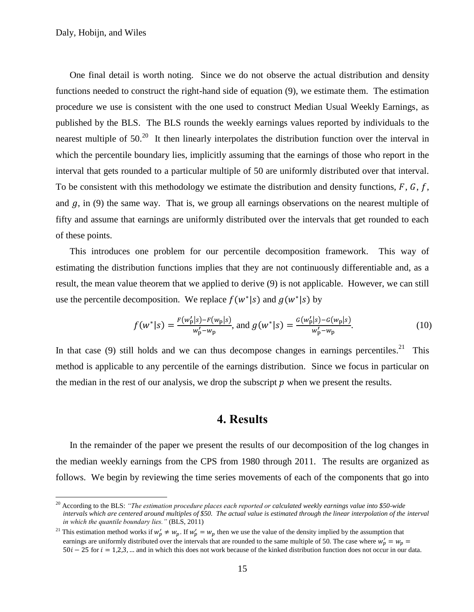$\overline{a}$ 

One final detail is worth noting. Since we do not observe the actual distribution and density functions needed to construct the right-hand side of equation (9), we estimate them. The estimation procedure we use is consistent with the one used to construct Median Usual Weekly Earnings, as published by the BLS. The BLS rounds the weekly earnings values reported by individuals to the nearest multiple of  $50<sup>20</sup>$  It then linearly interpolates the distribution function over the interval in which the percentile boundary lies, implicitly assuming that the earnings of those who report in the interval that gets rounded to a particular multiple of 50 are uniformly distributed over that interval. To be consistent with this methodology we estimate the distribution and density functions,  $F, G, f$ , and  $g$ , in [\(9\)](#page-13-0) the same way. That is, we group all earnings observations on the nearest multiple of fifty and assume that earnings are uniformly distributed over the intervals that get rounded to each of these points.

This introduces one problem for our percentile decomposition framework. This way of estimating the distribution functions implies that they are not continuously differentiable and, as a result, the mean value theorem that we applied to derive [\(9\)](#page-13-0) is not applicable. However, we can still use the percentile decomposition. We replace  $f(w^*|s)$  and  $g(w^*|s)$  by

$$
f(w^*|s) = \frac{F(w'_p|s) - F(w_p|s)}{w'_p - w_p}, \text{ and } g(w^*|s) = \frac{G(w'_p|s) - G(w_p|s)}{w'_p - w_p}.
$$
 (10)

In that case [\(9\)](#page-13-0) still holds and we can thus decompose changes in earnings percentiles.<sup>21</sup> This method is applicable to any percentile of the earnings distribution. Since we focus in particular on the median in the rest of our analysis, we drop the subscript  $p$  when we present the results.

# **4. Results**

In the remainder of the paper we present the results of our decomposition of the log changes in the median weekly earnings from the CPS from 1980 through 2011. The results are organized as follows. We begin by reviewing the time series movements of each of the components that go into

<sup>20</sup> According to the BLS: *"The estimation procedure places each reported or calculated weekly earnings value into \$50-wide intervals which are centered around multiples of \$50. The actual value is estimated through the linear interpolation of the interval in which the quantile boundary lies."* (BLS, 2011)

<sup>&</sup>lt;sup>21</sup> This estimation method works if  $w'_p \neq w_p$ . If  $w'_p = w_p$  then we use the value of the density implied by the assumption that earnings are uniformly distributed over the intervals that are rounded to the same multiple of 50. The case where  $w_p$  $50i - 25$  for  $i = 1,2,3,...$  and in which this does not work because of the kinked distribution function does not occur in our data.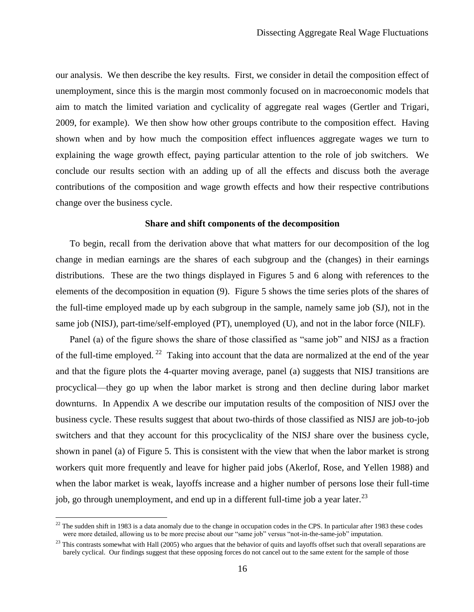our analysis. We then describe the key results. First, we consider in detail the composition effect of unemployment, since this is the margin most commonly focused on in macroeconomic models that aim to match the limited variation and cyclicality of aggregate real wages (Gertler and Trigari, 2009, for example). We then show how other groups contribute to the composition effect. Having shown when and by how much the composition effect influences aggregate wages we turn to explaining the wage growth effect, paying particular attention to the role of job switchers. We conclude our results section with an adding up of all the effects and discuss both the average contributions of the composition and wage growth effects and how their respective contributions change over the business cycle.

### **Share and shift components of the decomposition**

To begin, recall from the derivation above that what matters for our decomposition of the log change in median earnings are the shares of each subgroup and the (changes) in their earnings distributions. These are the two things displayed in Figures [5](#page-44-0) and [6](#page-45-0) along with references to the elements of the decomposition in equation [\(9\).](#page-13-0) Figure [5](#page-44-0) shows the time series plots of the shares of the full-time employed made up by each subgroup in the sample, namely same job (SJ), not in the same job (NISJ), part-time/self-employed (PT), unemployed (U), and not in the labor force (NILF).

Panel (a) of the figure shows the share of those classified as "same job" and NISJ as a fraction of the full-time employed. <sup>22</sup> Taking into account that the data are normalized at the end of the year and that the figure plots the 4-quarter moving average, panel (a) suggests that NISJ transitions are procyclical—they go up when the labor market is strong and then decline during labor market downturns. In Appendix [A](#page-28-0) we describe our imputation results of the composition of NISJ over the business cycle. These results suggest that about two-thirds of those classified as NISJ are job-to-job switchers and that they account for this procyclicality of the NISJ share over the business cycle, shown in panel (a) of Figure [5.](#page-44-0) This is consistent with the view that when the labor market is strong workers quit more frequently and leave for higher paid jobs (Akerlof, Rose, and Yellen 1988) and when the labor market is weak, layoffs increase and a higher number of persons lose their full-time job, go through unemployment, and end up in a different full-time job a year later.<sup>23</sup>

 $22$  The sudden shift in 1983 is a data anomaly due to the change in occupation codes in the CPS. In particular after 1983 these codes were more detailed, allowing us to be more precise about our "same job" versus "not-in-the-same-job" imputation.

 $^{23}$  This contrasts somewhat with Hall (2005) who argues that the behavior of quits and layoffs offset such that overall separations are barely cyclical. Our findings suggest that these opposing forces do not cancel out to the same extent for the sample of those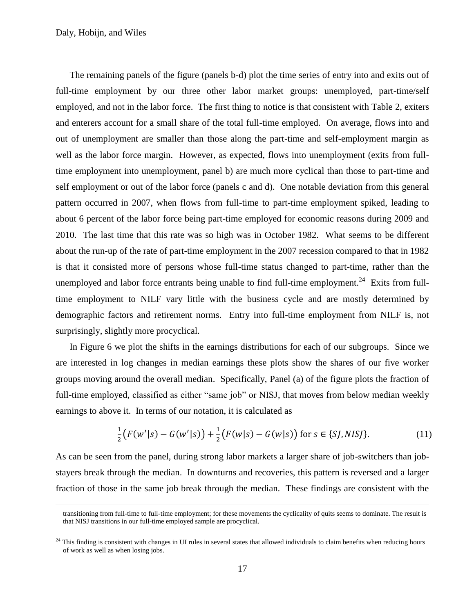$\overline{a}$ 

The remaining panels of the figure (panels b-d) plot the time series of entry into and exits out of full-time employment by our three other labor market groups: unemployed, part-time/self employed, and not in the labor force. The first thing to notice is that consistent with Table [2,](#page-38-0) exiters and enterers account for a small share of the total full-time employed. On average, flows into and out of unemployment are smaller than those along the part-time and self-employment margin as well as the labor force margin. However, as expected, flows into unemployment (exits from fulltime employment into unemployment, panel b) are much more cyclical than those to part-time and self employment or out of the labor force (panels c and d). One notable deviation from this general pattern occurred in 2007, when flows from full-time to part-time employment spiked, leading to about 6 percent of the labor force being part-time employed for economic reasons during 2009 and 2010. The last time that this rate was so high was in October 1982. What seems to be different about the run-up of the rate of part-time employment in the 2007 recession compared to that in 1982 is that it consisted more of persons whose full-time status changed to part-time, rather than the unemployed and labor force entrants being unable to find full-time employment.<sup>24</sup> Exits from fulltime employment to NILF vary little with the business cycle and are mostly determined by demographic factors and retirement norms. Entry into full-time employment from NILF is, not surprisingly, slightly more procyclical.

In Figure [6](#page-45-0) we plot the shifts in the earnings distributions for each of our subgroups. Since we are interested in log changes in median earnings these plots show the shares of our five worker groups moving around the overall median. Specifically, Panel (a) of the figure plots the fraction of full-time employed, classified as either "same job" or NISJ, that moves from below median weekly earnings to above it. In terms of our notation, it is calculated as

$$
\frac{1}{2}\big(F(w'|s) - G(w'|s)\big) + \frac{1}{2}\big(F(w|s) - G(w|s)\big) \text{ for } s \in \{SI, NISJ\}.
$$
 (11)

As can be seen from the panel, during strong labor markets a larger share of job-switchers than jobstayers break through the median. In downturns and recoveries, this pattern is reversed and a larger fraction of those in the same job break through the median. These findings are consistent with the

transitioning from full-time to full-time employment; for these movements the cyclicality of quits seems to dominate. The result is that NISJ transitions in our full-time employed sample are procyclical.

 $^{24}$  This finding is consistent with changes in UI rules in several states that allowed individuals to claim benefits when reducing hours of work as well as when losing jobs.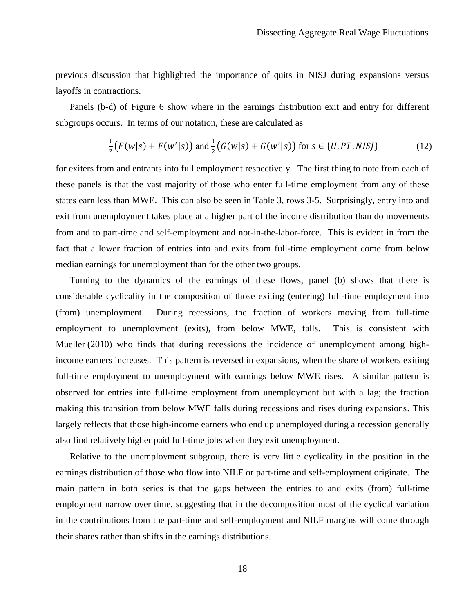previous discussion that highlighted the importance of quits in NISJ during expansions versus layoffs in contractions.

Panels (b-d) of Figure [6](#page-45-0) show where in the earnings distribution exit and entry for different subgroups occurs. In terms of our notation, these are calculated as

$$
\frac{1}{2}\big(F(w|s) + F(w'|s)\big) \text{ and } \frac{1}{2}\big(G(w|s) + G(w'|s)\big) \text{ for } s \in \{U, PT, NISJ\}
$$
 (12)

for exiters from and entrants into full employment respectively. The first thing to note from each of these panels is that the vast majority of those who enter full-time employment from any of these states earn less than MWE. This can also be seen in Table [3,](#page-39-0) rows 3-5. Surprisingly, entry into and exit from unemployment takes place at a higher part of the income distribution than do movements from and to part-time and self-employment and not-in-the-labor-force. This is evident in from the fact that a lower fraction of entries into and exits from full-time employment come from below median earnings for unemployment than for the other two groups.

Turning to the dynamics of the earnings of these flows, panel (b) shows that there is considerable cyclicality in the composition of those exiting (entering) full-time employment into (from) unemployment. During recessions, the fraction of workers moving from full-time employment to unemployment (exits), from below MWE, falls. This is consistent with Mueller (2010) who finds that during recessions the incidence of unemployment among highincome earners increases. This pattern is reversed in expansions, when the share of workers exiting full-time employment to unemployment with earnings below MWE rises. A similar pattern is observed for entries into full-time employment from unemployment but with a lag; the fraction making this transition from below MWE falls during recessions and rises during expansions. This largely reflects that those high-income earners who end up unemployed during a recession generally also find relatively higher paid full-time jobs when they exit unemployment.

Relative to the unemployment subgroup, there is very little cyclicality in the position in the earnings distribution of those who flow into NILF or part-time and self-employment originate. The main pattern in both series is that the gaps between the entries to and exits (from) full-time employment narrow over time, suggesting that in the decomposition most of the cyclical variation in the contributions from the part-time and self-employment and NILF margins will come through their shares rather than shifts in the earnings distributions.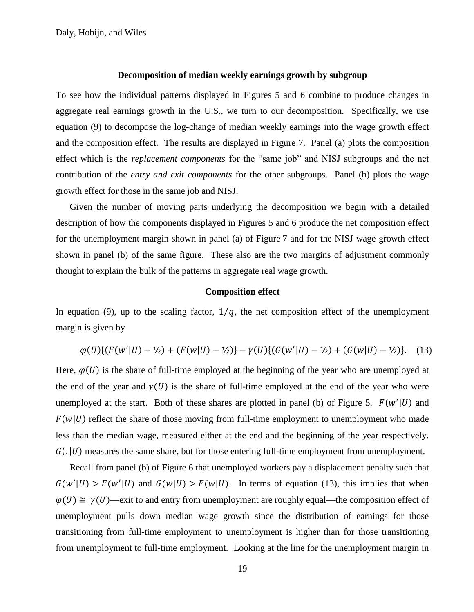#### **Decomposition of median weekly earnings growth by subgroup**

To see how the individual patterns displayed in Figures [5](#page-44-0) and [6](#page-45-0) combine to produce changes in aggregate real earnings growth in the U.S., we turn to our decomposition. Specifically, we use equation [\(9\)](#page-13-0) to decompose the log-change of median weekly earnings into the wage growth effect and the composition effect. The results are displayed in Figure [7.](#page-46-0) Panel (a) plots the composition effect which is the *replacement components* for the "same job" and NISJ subgroups and the net contribution of the *entry and exit components* for the other subgroups. Panel (b) plots the wage growth effect for those in the same job and NISJ.

Given the number of moving parts underlying the decomposition we begin with a detailed description of how the components displayed in Figures [5](#page-44-0) and [6](#page-45-0) produce the net composition effect for the unemployment margin shown in panel (a) of Figure [7](#page-46-0) and for the NISJ wage growth effect shown in panel (b) of the same figure. These also are the two margins of adjustment commonly thought to explain the bulk of the patterns in aggregate real wage growth.

### <span id="page-19-0"></span>**Composition effect**

In equation [\(9\),](#page-13-0) up to the scaling factor,  $1/q$ , the net composition effect of the unemployment margin is given by

$$
\varphi(U)\{(F(w'|U)-\frac{1}{2})+(F(w|U)-\frac{1}{2})\}-\gamma(U)\{(G(w'|U)-\frac{1}{2})+(G(w|U)-\frac{1}{2})\}.\tag{13}
$$

Here,  $\varphi$ (*U*) is the share of full-time employed at the beginning of the year who are unemployed at the end of the year and  $\gamma$  (*U*) is the share of full-time employed at the end of the year who were unemployed at the start. Both of these shares are plotted in panel (b) of Figure [5.](#page-44-0)  $F(w'|U)$  and  $F(w | U)$  reflect the share of those moving from full-time employment to unemployment who made less than the median wage, measured either at the end and the beginning of the year respectively.  $G(. | U)$  measures the same share, but for those entering full-time employment from unemployment.

Recall from panel (b) of Figure [6](#page-45-0) that unemployed workers pay a displacement penalty such that  $G(w'|U) > F(w'|U)$  and  $G(w|U) > F(w|U)$ . In terms of equation [\(13\),](#page-19-0) this implies that when  $\varphi(U) \cong \gamma(U)$ —exit to and entry from unemployment are roughly equal—the composition effect of unemployment pulls down median wage growth since the distribution of earnings for those transitioning from full-time employment to unemployment is higher than for those transitioning from unemployment to full-time employment. Looking at the line for the unemployment margin in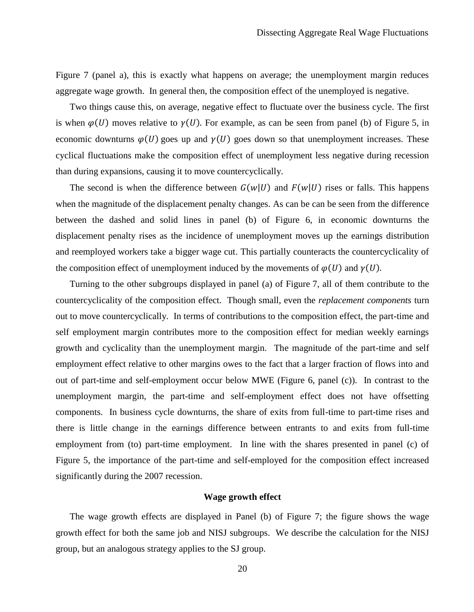Figure [7](#page-46-0) (panel a), this is exactly what happens on average; the unemployment margin reduces aggregate wage growth. In general then, the composition effect of the unemployed is negative.

Two things cause this, on average, negative effect to fluctuate over the business cycle. The first is when  $\varphi$ (*U*) moves relative to  $\gamma$ (*U*). For example, as can be seen from panel (b) of Figure [5,](#page-44-0) in economic downturns  $\varphi$ (*U*) goes up and  $\gamma$ (*U*) goes down so that unemployment increases. These cyclical fluctuations make the composition effect of unemployment less negative during recession than during expansions, causing it to move countercyclically.

The second is when the difference between  $G(w | U)$  and  $F(w | U)$  rises or falls. This happens when the magnitude of the displacement penalty changes. As can be can be seen from the difference between the dashed and solid lines in panel (b) of Figure [6,](#page-45-0) in economic downturns the displacement penalty rises as the incidence of unemployment moves up the earnings distribution and reemployed workers take a bigger wage cut. This partially counteracts the countercyclicality of the composition effect of unemployment induced by the movements of  $\varphi(U)$  and  $\gamma(U)$ .

Turning to the other subgroups displayed in panel (a) of Figure [7,](#page-46-0) all of them contribute to the countercyclicality of the composition effect. Though small, even the *replacement components* turn out to move countercyclically. In terms of contributions to the composition effect, the part-time and self employment margin contributes more to the composition effect for median weekly earnings growth and cyclicality than the unemployment margin. The magnitude of the part-time and self employment effect relative to other margins owes to the fact that a larger fraction of flows into and out of part-time and self-employment occur below MWE (Figure [6,](#page-45-0) panel (c)). In contrast to the unemployment margin, the part-time and self-employment effect does not have offsetting components. In business cycle downturns, the share of exits from full-time to part-time rises and there is little change in the earnings difference between entrants to and exits from full-time employment from (to) part-time employment. In line with the shares presented in panel (c) of Figure [5,](#page-44-0) the importance of the part-time and self-employed for the composition effect increased significantly during the 2007 recession.

### **Wage growth effect**

The wage growth effects are displayed in Panel (b) of Figure [7;](#page-46-0) the figure shows the wage growth effect for both the same job and NISJ subgroups. We describe the calculation for the NISJ group, but an analogous strategy applies to the SJ group.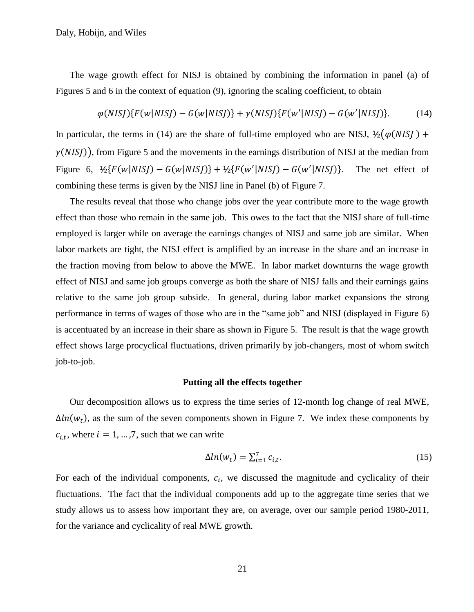The wage growth effect for NISJ is obtained by combining the information in panel (a) of Figures [5](#page-44-0) and [6](#page-45-0) in the context of equation [\(9\),](#page-13-0) ignoring the scaling coefficient, to obtain

<span id="page-21-0"></span>
$$
\varphi(NISJ)\{F(w|NISJ) - G(w|NISJ)\} + \gamma(NISJ)\{F(w'|NISJ) - G(w'|NISJ)\}.
$$
 (14)

In particular, the terms in [\(14\)](#page-21-0) are the share of full-time employed who are NISJ,  $\frac{1}{2}(\varphi(NIS) +$  $\gamma(NISJ)$ , from Figure [5](#page-44-0) and the movements in the earnings distribution of NISJ at the median from Figure [6,](#page-45-0)  $\frac{1}{2} \{ F(w|NISJ) - G(w|NISJ) \} + \frac{1}{2} \{ F(w'|NISJ) - G(w') \}$ The net effect of combining these terms is given by the NISJ line in Panel (b) of Figure [7.](#page-46-0)

The results reveal that those who change jobs over the year contribute more to the wage growth effect than those who remain in the same job. This owes to the fact that the NISJ share of full-time employed is larger while on average the earnings changes of NISJ and same job are similar. When labor markets are tight, the NISJ effect is amplified by an increase in the share and an increase in the fraction moving from below to above the MWE. In labor market downturns the wage growth effect of NISJ and same job groups converge as both the share of NISJ falls and their earnings gains relative to the same job group subside. In general, during labor market expansions the strong performance in terms of wages of those who are in the "same job" and NISJ (displayed in Figure [6\)](#page-45-0) is accentuated by an increase in their share as shown in Figure [5.](#page-44-0) The result is that the wage growth effect shows large procyclical fluctuations, driven primarily by job-changers, most of whom switch job-to-job.

### **Putting all the effects together**

Our decomposition allows us to express the time series of 12-month log change of real MWE,  $\Delta ln(w_t)$ , as the sum of the seven components shown in Figure [7.](#page-46-0) We index these components by  $c_{i,t}$ , where  $i = 1, ..., 7$ , such that we can write

<span id="page-21-1"></span>
$$
\Delta ln(w_t) = \sum_{i=1}^{7} c_{i,t}.\tag{15}
$$

For each of the individual components,  $c_i$ , we discussed the magnitude and cyclicality of their fluctuations. The fact that the individual components add up to the aggregate time series that we study allows us to assess how important they are, on average, over our sample period 1980-2011, for the variance and cyclicality of real MWE growth.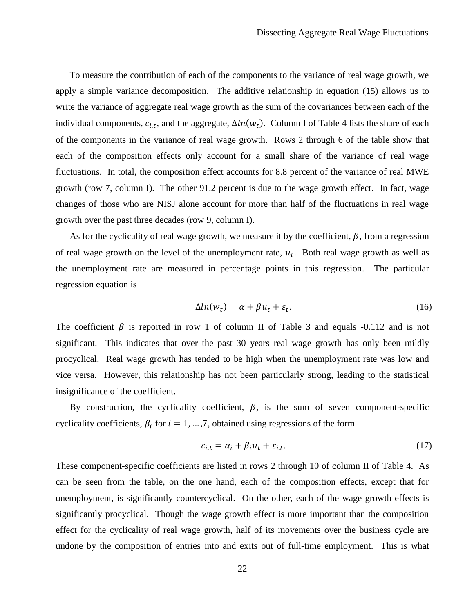To measure the contribution of each of the components to the variance of real wage growth, we apply a simple variance decomposition. The additive relationship in equation [\(15\)](#page-21-1) allows us to write the variance of aggregate real wage growth as the sum of the covariances between each of the individual components,  $c_{i,t}$ , and the aggregate,  $\Delta ln(w_t)$ . Column I of Table [4](#page-40-0) lists the share of each of the components in the variance of real wage growth. Rows 2 through 6 of the table show that each of the composition effects only account for a small share of the variance of real wage fluctuations. In total, the composition effect accounts for 8.8 percent of the variance of real MWE growth (row 7, column I). The other 91.2 percent is due to the wage growth effect. In fact, wage changes of those who are NISJ alone account for more than half of the fluctuations in real wage growth over the past three decades (row 9, column I).

As for the cyclicality of real wage growth, we measure it by the coefficient,  $\beta$ , from a regression of real wage growth on the level of the unemployment rate,  $u_t$ . Both real wage growth as well as the unemployment rate are measured in percentage points in this regression. The particular regression equation is

$$
\Delta ln(w_t) = \alpha + \beta u_t + \varepsilon_t. \tag{16}
$$

The coefficient  $\beta$  is reported in row 1 of column II of Table [3](#page-39-0) and equals -0.112 and is not significant. This indicates that over the past 30 years real wage growth has only been mildly procyclical. Real wage growth has tended to be high when the unemployment rate was low and vice versa. However, this relationship has not been particularly strong, leading to the statistical insignificance of the coefficient.

By construction, the cyclicality coefficient,  $\beta$ , is the sum of seven component-specific cyclicality coefficients,  $\beta_i$  for  $i = 1, ..., 7$ , obtained using regressions of the form

$$
c_{i,t} = \alpha_i + \beta_i u_t + \varepsilon_{i,t}.\tag{17}
$$

These component-specific coefficients are listed in rows 2 through 10 of column II of Table [4.](#page-40-0) As can be seen from the table, on the one hand, each of the composition effects, except that for unemployment, is significantly countercyclical. On the other, each of the wage growth effects is significantly procyclical. Though the wage growth effect is more important than the composition effect for the cyclicality of real wage growth, half of its movements over the business cycle are undone by the composition of entries into and exits out of full-time employment. This is what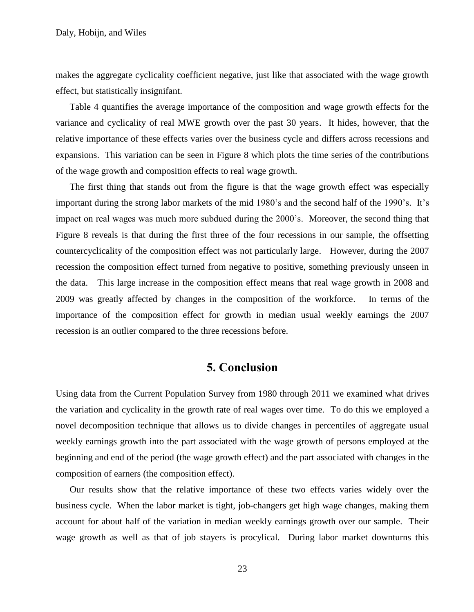makes the aggregate cyclicality coefficient negative, just like that associated with the wage growth effect, but statistically insignifant.

Table [4](#page-40-0) quantifies the average importance of the composition and wage growth effects for the variance and cyclicality of real MWE growth over the past 30 years. It hides, however, that the relative importance of these effects varies over the business cycle and differs across recessions and expansions. This variation can be seen in Figure [8](#page-47-0) which plots the time series of the contributions of the wage growth and composition effects to real wage growth.

The first thing that stands out from the figure is that the wage growth effect was especially important during the strong labor markets of the mid 1980's and the second half of the 1990's. It's impact on real wages was much more subdued during the 2000"s. Moreover, the second thing that Figure [8](#page-47-0) reveals is that during the first three of the four recessions in our sample, the offsetting countercyclicality of the composition effect was not particularly large. However, during the 2007 recession the composition effect turned from negative to positive, something previously unseen in the data. This large increase in the composition effect means that real wage growth in 2008 and 2009 was greatly affected by changes in the composition of the workforce. In terms of the importance of the composition effect for growth in median usual weekly earnings the 2007 recession is an outlier compared to the three recessions before.

# **5. Conclusion**

Using data from the Current Population Survey from 1980 through 2011 we examined what drives the variation and cyclicality in the growth rate of real wages over time. To do this we employed a novel decomposition technique that allows us to divide changes in percentiles of aggregate usual weekly earnings growth into the part associated with the wage growth of persons employed at the beginning and end of the period (the wage growth effect) and the part associated with changes in the composition of earners (the composition effect).

Our results show that the relative importance of these two effects varies widely over the business cycle. When the labor market is tight, job-changers get high wage changes, making them account for about half of the variation in median weekly earnings growth over our sample. Their wage growth as well as that of job stayers is procylical. During labor market downturns this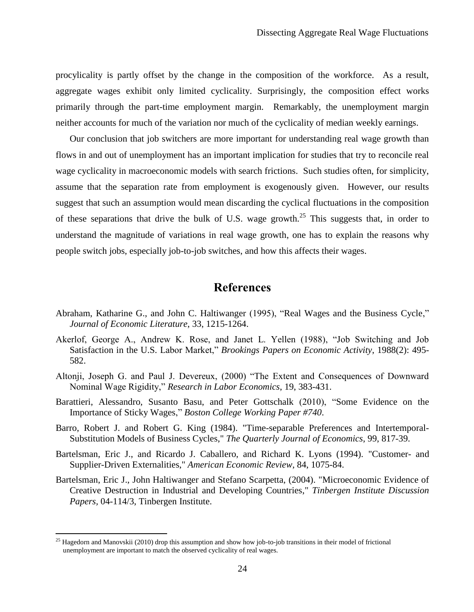procylicality is partly offset by the change in the composition of the workforce. As a result, aggregate wages exhibit only limited cyclicality. Surprisingly, the composition effect works primarily through the part-time employment margin. Remarkably, the unemployment margin neither accounts for much of the variation nor much of the cyclicality of median weekly earnings.

Our conclusion that job switchers are more important for understanding real wage growth than flows in and out of unemployment has an important implication for studies that try to reconcile real wage cyclicality in macroeconomic models with search frictions. Such studies often, for simplicity, assume that the separation rate from employment is exogenously given. However, our results suggest that such an assumption would mean discarding the cyclical fluctuations in the composition of these separations that drive the bulk of U.S. wage growth.<sup>25</sup> This suggests that, in order to understand the magnitude of variations in real wage growth, one has to explain the reasons why people switch jobs, especially job-to-job switches, and how this affects their wages.

# **References**

- Abraham, Katharine G., and John C. Haltiwanger (1995), "Real Wages and the Business Cycle," *Journal of Economic Literature*, 33, 1215-1264.
- Akerlof, George A., Andrew K. Rose, and Janet L. Yellen (1988), "Job Switching and Job Satisfaction in the U.S. Labor Market," *Brookings Papers on Economic Activity*, 1988(2): 495- 582.
- Altonji, Joseph G. and Paul J. Devereux, (2000) "The Extent and Consequences of Downward Nominal Wage Rigidity," *Research in Labor Economics*, 19, 383-431.
- Barattieri, Alessandro, Susanto Basu, and Peter Gottschalk (2010), "Some Evidence on the Importance of Sticky Wages," *Boston College Working Paper #740*.
- Barro, Robert J. and Robert G. King (1984). ["Time-separable Preferences and Intertemporal-](http://ideas.repec.org/a/tpr/qjecon/v99y1984i4p817-39.html)[Substitution Models of Business Cycles,](http://ideas.repec.org/a/tpr/qjecon/v99y1984i4p817-39.html)" *[The Quarterly Journal of Economics](http://ideas.repec.org/s/tpr/qjecon.html)*, 99, 817-39.
- Bartelsman, Eric J., and Ricardo J. Caballero, and Richard K. Lyons (1994). ["Customer-](http://ideas.repec.org/a/aea/aecrev/v84y1994i4p1075-84.html) and [Supplier-Driven Externalities,](http://ideas.repec.org/a/aea/aecrev/v84y1994i4p1075-84.html)" *[American Economic Review](http://ideas.repec.org/s/aea/aecrev.html)*, 84, 1075-84.
- Bartelsman, Eric J., John Haltiwanger and Stefano Scarpetta, (2004). ["Microeconomic Evidence of](http://ideas.repec.org/p/dgr/uvatin/20040114.html)  [Creative Destruction in Industrial and Developing Countries,](http://ideas.repec.org/p/dgr/uvatin/20040114.html)" *[Tinbergen Institute Discussion](http://ideas.repec.org/s/dgr/uvatin.html)  [Papers,](http://ideas.repec.org/s/dgr/uvatin.html)* 04-114/3, Tinbergen Institute.

<sup>&</sup>lt;sup>25</sup> Hagedorn and Manovskii (2010) drop this assumption and show how job-to-job transitions in their model of frictional unemployment are important to match the observed cyclicality of real wages.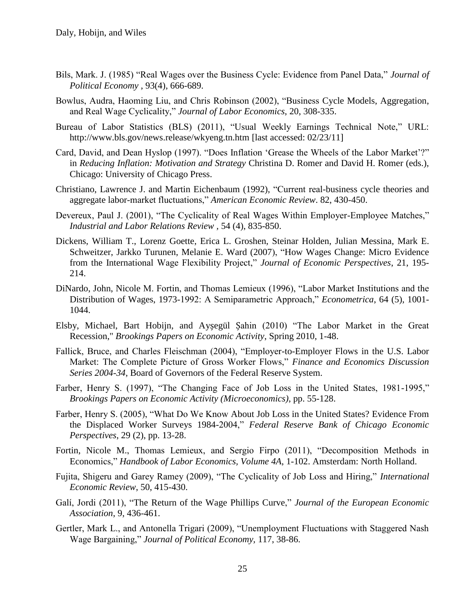- Bils, Mark. J. (1985) "Real Wages over the Business Cycle: Evidence from Panel Data," *Journal of Political Economy* , 93(4), 666-689.
- Bowlus, Audra, Haoming Liu, and Chris Robinson (2002), "Business Cycle Models, Aggregation, and Real Wage Cyclicality," *Journal of Labor Economics*, 20, 308-335.
- Bureau of Labor Statistics (BLS) (2011), "Usual Weekly Earnings Technical Note," URL: http://www.bls.gov/news.release/wkyeng.tn.htm [last accessed: 02/23/11]
- Card, David, and Dean Hyslop (1997). "Does Inflation "Grease the Wheels of the Labor Market"?" in *Reducing Inflation: Motivation and Strategy* Christina D. Romer and David H. Romer (eds.), Chicago: University of Chicago Press.
- Christiano, Lawrence J. and Martin Eichenbaum (1992), "Current real-business cycle theories and aggregate labor-market fluctuations," *American Economic Review*. 82, 430-450.
- Devereux, Paul J. (2001), "The Cyclicality of Real Wages Within Employer-Employee Matches," *Industrial and Labor Relations Review ,* 54 (4), 835-850.
- Dickens, William T., Lorenz Goette, Erica L. Groshen, Steinar Holden, Julian Messina, Mark E. Schweitzer, Jarkko Turunen, Melanie E. Ward (2007), "How Wages Change: Micro Evidence from the International Wage Flexibility Project," *Journal of Economic Perspectives*, 21, 195- 214.
- DiNardo, John, Nicole M. Fortin, and Thomas Lemieux (1996), "Labor Market Institutions and the Distribution of Wages, 1973-1992: A Semiparametric Approach," *Econometrica*, 64 (5), 1001- 1044.
- Elsby, Michael, Bart Hobijn, and Ayșegül Șahin (2010) "The Labor Market in the Great Recession," *Brookings Papers on Economic Activity*, Spring 2010, 1-48.
- Fallick, Bruce, and Charles Fleischman (2004), "Employer-to-Employer Flows in the U.S. Labor Market: The Complete Picture of Gross Worker Flows," *Finance and Economics Discussion Series 2004-34*, Board of Governors of the Federal Reserve System.
- Farber, Henry S. (1997), "The Changing Face of Job Loss in the United States, 1981-1995," *Brookings Papers on Economic Activity (Microeconomics)*, pp. 55-128.
- Farber, Henry S. (2005), "What Do We Know About Job Loss in the United States? Evidence From the Displaced Worker Surveys 1984-2004," *Federal Reserve Bank of Chicago Economic Perspectives*, 29 (2), pp. 13-28.
- Fortin, Nicole M., Thomas Lemieux, and Sergio Firpo (2011), "Decomposition Methods in Economics," *Handbook of Labor Economics, Volume 4A*, 1-102. Amsterdam: North Holland.
- Fujita, Shigeru and Garey Ramey (2009), "The Cyclicality of Job Loss and Hiring," *International Economic Review*, 50, 415-430.
- Galí, Jordi (2011), "The Return of the Wage Phillips Curve," *Journal of the European Economic Association*, 9, 436-461.
- Gertler, Mark L., and Antonella Trigari (2009), "Unemployment Fluctuations with Staggered Nash Wage Bargaining," *Journal of Political Economy,* 117, 38-86.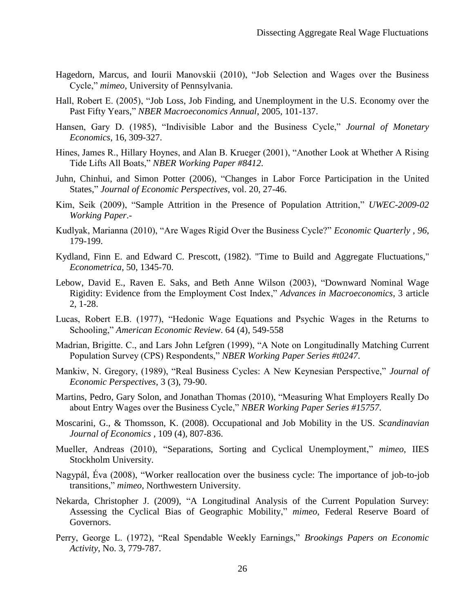- Hagedorn, Marcus, and Iourii Manovskii (2010), "Job Selection and Wages over the Business Cycle," *mimeo*, University of Pennsylvania.
- Hall, Robert E. (2005), "Job Loss, Job Finding, and Unemployment in the U.S. Economy over the Past Fifty Years," *NBER Macroeconomics Annual*, 2005, 101-137.
- Hansen, Gary D. (1985), "Indivisible Labor and the Business Cycle," *Journal of Monetary Economics*, 16, 309-327.
- Hines, James R., Hillary Hoynes, and Alan B. Krueger (2001), "Another Look at Whether A Rising Tide Lifts All Boats," *NBER Working Paper #8412*.
- Juhn, Chinhui, and Simon Potter (2006), "Changes in Labor Force Participation in the United States," *Journal of Economic Perspectives*, vol. 20, 27-46.
- Kim, Seik (2009), "Sample Attrition in the Presence of Population Attrition," *UWEC-2009-02 Working Paper*.-
- Kudlyak, Marianna (2010), "Are Wages Rigid Over the Business Cycle?" *Economic Quarterly , 96*, 179-199.
- Kydland, Finn E. and Edward C. Prescott, (1982). ["Time to Build and Aggregate Fluctuations,](http://ideas.repec.org/a/ecm/emetrp/v50y1982i6p1345-70.html)" *[Econometrica](http://ideas.repec.org/s/ecm/emetrp.html)*, 50, 1345-70.
- Lebow, David E., Raven E. Saks, and Beth Anne Wilson (2003), "Downward Nominal Wage Rigidity: Evidence from the Employment Cost Index," *Advances in Macroeconomics*, 3 article 2, 1-28.
- Lucas, Robert E.B. (1977), "Hedonic Wage Equations and Psychic Wages in the Returns to Schooling," *American Economic Review*. 64 (4), 549-558
- Madrian, Brigitte. C., and Lars John Lefgren (1999), "A Note on Longitudinally Matching Current Population Survey (CPS) Respondents," *NBER Working Paper Series #t0247*.
- Mankiw, N. Gregory, (1989), "Real Business Cycles: A New Keynesian Perspective," *Journal of Economic Perspectives*, 3 (3), 79-90.
- Martins, Pedro, Gary Solon, and Jonathan Thomas (2010), "Measuring What Employers Really Do about Entry Wages over the Business Cycle," *NBER Working Paper Series #15757.*
- Moscarini, G., & Thomsson, K. (2008). Occupational and Job Mobility in the US. *Scandinavian Journal of Economics* , 109 (4), 807-836.
- Mueller, Andreas (2010), "Separations, Sorting and Cyclical Unemployment," *mimeo*, IIES Stockholm University.
- Nagypál, Éva (2008), "Worker reallocation over the business cycle: The importance of job-to-job transitions," *mimeo*, Northwestern University.
- Nekarda, Christopher J. (2009), "A Longitudinal Analysis of the Current Population Survey: Assessing the Cyclical Bias of Geographic Mobility," *mimeo*, Federal Reserve Board of Governors.
- Perry, George L. (1972), "Real Spendable Weekly Earnings," *Brookings Papers on Economic Activity*, No. 3, 779-787.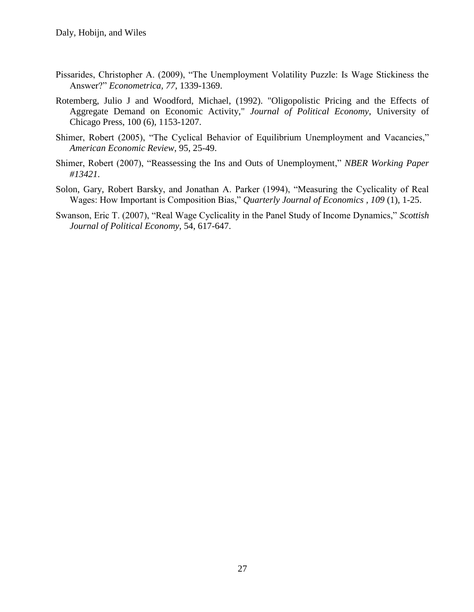- Pissarides, Christopher A. (2009), "The Unemployment Volatility Puzzle: Is Wage Stickiness the Answer?" *Econometrica, 77*, 1339-1369.
- Rotemberg, Julio J and Woodford, Michael, (1992). ["Oligopolistic Pricing and the Effects of](http://ideas.repec.org/a/ucp/jpolec/v100y1992i6p1153-1207.html)  [Aggregate Demand on Economic Activity,](http://ideas.repec.org/a/ucp/jpolec/v100y1992i6p1153-1207.html)" *[Journal of Political Economy](http://ideas.repec.org/s/ucp/jpolec.html)*, University of Chicago Press, 100 (6), 1153-1207.
- Shimer, Robert (2005), "The Cyclical Behavior of Equilibrium Unemployment and Vacancies," *American Economic Review*, 95, 25-49.
- Shimer, Robert (2007), "Reassessing the Ins and Outs of Unemployment," *NBER Working Paper #13421*.
- Solon, Gary, Robert Barsky, and Jonathan A. Parker (1994), "Measuring the Cyclicality of Real Wages: How Important is Composition Bias," *Quarterly Journal of Economics , 109* (1), 1-25.
- Swanson, Eric T. (2007), "Real Wage Cyclicality in the Panel Study of Income Dynamics," *Scottish Journal of Political Economy*, 54, 617-647.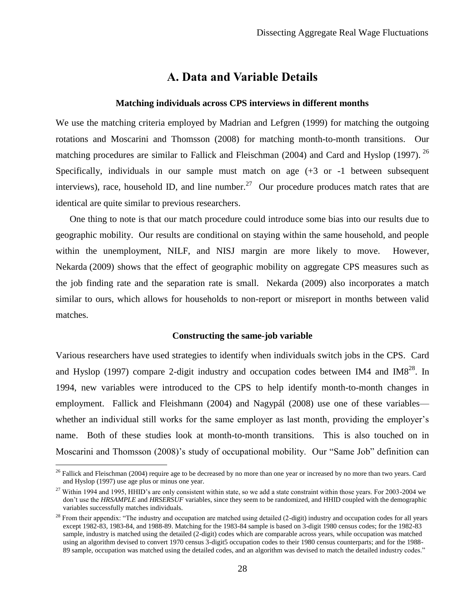# **A. Data and Variable Details**

### **Matching individuals across CPS interviews in different months**

<span id="page-28-0"></span>We use the matching criteria employed by Madrian and Lefgren (1999) for matching the outgoing rotations and Moscarini and Thomsson (2008) for matching month-to-month transitions. Our matching procedures are similar to Fallick and Fleischman (2004) and Card and Hyslop (1997). <sup>26</sup> Specifically, individuals in our sample must match on age (+3 or -1 between subsequent interviews), race, household ID, and line number.<sup>27</sup> Our procedure produces match rates that are identical are quite similar to previous researchers.

One thing to note is that our match procedure could introduce some bias into our results due to geographic mobility. Our results are conditional on staying within the same household, and people within the unemployment, NILF, and NISJ margin are more likely to move. However, Nekarda (2009) shows that the effect of geographic mobility on aggregate CPS measures such as the job finding rate and the separation rate is small. Nekarda (2009) also incorporates a match similar to ours, which allows for households to non-report or misreport in months between valid matches.

### **Constructing the same-job variable**

Various researchers have used strategies to identify when individuals switch jobs in the CPS. Card and Hyslop (1997) compare 2-digit industry and occupation codes between IM4 and IM8 $^{28}$ . In 1994, new variables were introduced to the CPS to help identify month-to-month changes in employment. Fallick and Fleishmann (2004) and Nagypál (2008) use one of these variables whether an individual still works for the same employer as last month, providing the employer's name. Both of these studies look at month-to-month transitions. This is also touched on in Moscarini and Thomsson (2008)"s study of occupational mobility. Our "Same Job" definition can

 $^{26}$  Fallick and Fleischman (2004) require age to be decreased by no more than one year or increased by no more than two years. Card and Hyslop (1997) use age plus or minus one year.

 $27$  Within 1994 and 1995, HHID's are only consistent within state, so we add a state constraint within those years. For 2003-2004 we don"t use the *HRSAMPLE* and *HRSERSUF* variables, since they seem to be randomized, and HHID coupled with the demographic variables successfully matches individuals.

 $28$  From their appendix: "The industry and occupation are matched using detailed (2-digit) industry and occupation codes for all years except 1982-83, 1983-84, and 1988-89. Matching for the 1983-84 sample is based on 3-digit 1980 census codes; for the 1982-83 sample, industry is matched using the detailed (2-digit) codes which are comparable across years, while occupation was matched using an algorithm devised to convert 1970 census 3-digit5 occupation codes to their 1980 census counterparts; and for the 1988- 89 sample, occupation was matched using the detailed codes, and an algorithm was devised to match the detailed industry codes."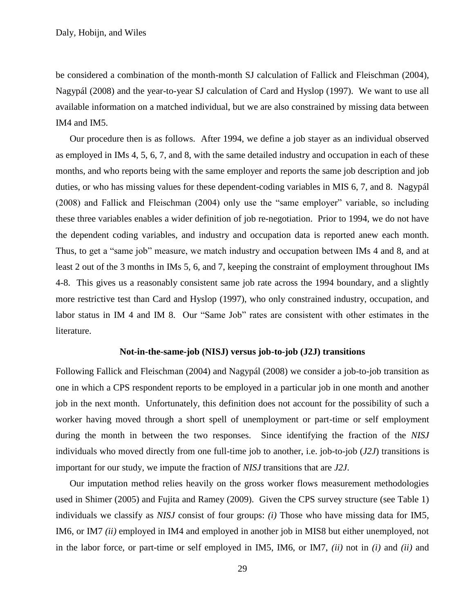be considered a combination of the month-month SJ calculation of Fallick and Fleischman (2004), Nagypál (2008) and the year-to-year SJ calculation of Card and Hyslop (1997). We want to use all available information on a matched individual, but we are also constrained by missing data between IM4 and IM5.

Our procedure then is as follows. After 1994, we define a job stayer as an individual observed as employed in IMs 4, 5, 6, 7, and 8, with the same detailed industry and occupation in each of these months, and who reports being with the same employer and reports the same job description and job duties, or who has missing values for these dependent-coding variables in MIS 6, 7, and 8. Nagypál (2008) and Fallick and Fleischman (2004) only use the "same employer" variable, so including these three variables enables a wider definition of job re-negotiation. Prior to 1994, we do not have the dependent coding variables, and industry and occupation data is reported anew each month. Thus, to get a "same job" measure, we match industry and occupation between IMs 4 and 8, and at least 2 out of the 3 months in IMs 5, 6, and 7, keeping the constraint of employment throughout IMs 4-8. This gives us a reasonably consistent same job rate across the 1994 boundary, and a slightly more restrictive test than Card and Hyslop (1997), who only constrained industry, occupation, and labor status in IM 4 and IM 8. Our "Same Job" rates are consistent with other estimates in the literature.

#### **Not-in-the-same-job (NISJ) versus job-to-job (J2J) transitions**

Following Fallick and Fleischman (2004) and Nagypál (2008) we consider a job-to-job transition as one in which a CPS respondent reports to be employed in a particular job in one month and another job in the next month. Unfortunately, this definition does not account for the possibility of such a worker having moved through a short spell of unemployment or part-time or self employment during the month in between the two responses. Since identifying the fraction of the *NISJ* individuals who moved directly from one full-time job to another, i.e. job-to-job (*J2J*) transitions is important for our study, we impute the fraction of *NISJ* transitions that are *J2J*.

Our imputation method relies heavily on the gross worker flows measurement methodologies used in Shimer (2005) and Fujita and Ramey (2009). Given the CPS survey structure (see Table 1) individuals we classify as *NISJ* consist of four groups: *(i)* Those who have missing data for IM5, IM6, or IM7 *(ii)* employed in IM4 and employed in another job in MIS8 but either unemployed, not in the labor force, or part-time or self employed in IM5, IM6, or IM7, *(ii)* not in *(i)* and *(ii)* and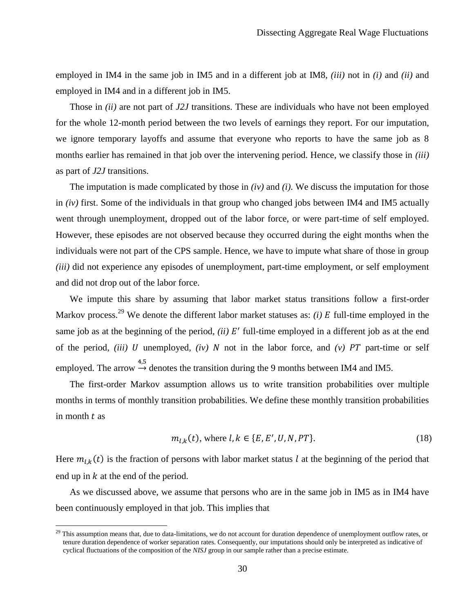employed in IM4 in the same job in IM5 and in a different job at IM8, *(iii)* not in *(i)* and *(ii)* and employed in IM4 and in a different job in IM5.

Those in *(ii)* are not part of *J2J* transitions. These are individuals who have not been employed for the whole 12-month period between the two levels of earnings they report. For our imputation, we ignore temporary layoffs and assume that everyone who reports to have the same job as 8 months earlier has remained in that job over the intervening period. Hence, we classify those in *(iii)* as part of *J2J* transitions.

The imputation is made complicated by those in *(iv)* and *(i)*. We discuss the imputation for those in *(iv)* first. Some of the individuals in that group who changed jobs between IM4 and IM5 actually went through unemployment, dropped out of the labor force, or were part-time of self employed. However, these episodes are not observed because they occurred during the eight months when the individuals were not part of the CPS sample. Hence, we have to impute what share of those in group *(iii)* did not experience any episodes of unemployment, part-time employment, or self employment and did not drop out of the labor force.

We impute this share by assuming that labor market status transitions follow a first-order Markov process.<sup>29</sup> We denote the different labor market statuses as: *(i)*  $E$  full-time employed in the same job as at the beginning of the period,  $(ii)$   $E'$  full-time employed in a different job as at the end of the period, *(iii)* U unemployed, *(iv)* N not in the labor force, and  $(v)$  PT part-time or self employed. The arrow  $\rightarrow^{4,5}$  denotes the transition during the 9 months between IM4 and IM5.

The first-order Markov assumption allows us to write transition probabilities over multiple months in terms of monthly transition probabilities. We define these monthly transition probabilities in month  $t$  as

$$
m_{l,k}(t)
$$
, where  $l, k \in \{E, E', U, N, PT\}$ . (18)

Here  $m_{l,k}(t)$  is the fraction of persons with labor market status l at the beginning of the period that end up in  $k$  at the end of the period.

As we discussed above, we assume that persons who are in the same job in IM5 as in IM4 have been continuously employed in that job. This implies that

<sup>&</sup>lt;sup>29</sup> This assumption means that, due to data-limitations, we do not account for duration dependence of unemployment outflow rates, or tenure duration dependence of worker separation rates. Consequently, our imputations should only be interpreted as indicative of cyclical fluctuations of the composition of the *NISJ* group in our sample rather than a precise estimate.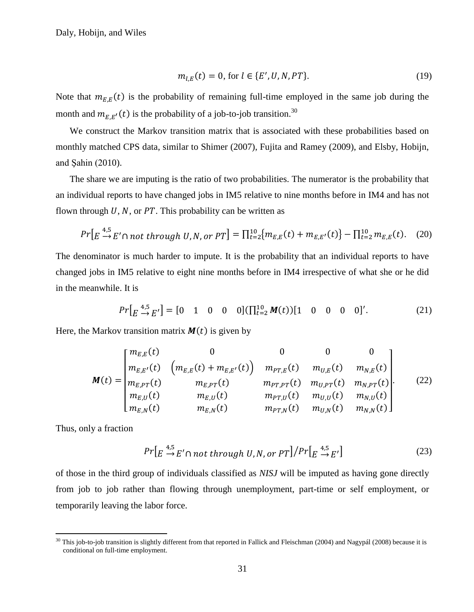$$
m_{l,E}(t) = 0, \text{ for } l \in \{E', U, N, PT\}. \tag{19}
$$

Note that  $m_{E,E}(t)$  is the probability of remaining full-time employed in the same job during the month and  $m_{E,E'}(t)$  is the probability of a job-to-job transition.<sup>30</sup>

We construct the Markov transition matrix that is associated with these probabilities based on monthly matched CPS data, similar to Shimer (2007), Fujita and Ramey (2009), and Elsby, Hobijn, and Şahin (2010).

The share we are imputing is the ratio of two probabilities. The numerator is the probability that an individual reports to have changed jobs in IM5 relative to nine months before in IM4 and has not flown through  $U$ ,  $N$ , or PT. This probability can be written as

$$
Pr\left[E \stackrel{4,5}{\rightarrow} E' \cap not \ through \ U, N, or \ PT\right] = \prod_{t=2}^{10} \{m_{E,E}(t) + m_{E,E'}(t)\} - \prod_{t=2}^{10} m_{E,E}(t). \tag{20}
$$

The denominator is much harder to impute. It is the probability that an individual reports to have changed jobs in IM5 relative to eight nine months before in IM4 irrespective of what she or he did in the meanwhile. It is

$$
Pr\left[E \stackrel{4,5}{\rightarrow} E'\right] = [0 \quad 1 \quad 0 \quad 0 \quad 0] \left(\prod_{t=2}^{10} M(t)\right) [1 \quad 0 \quad 0 \quad 0 \quad 0]'.
$$
 (21)

Here, the Markov transition matrix  $M(t)$  is given by

$$
M(t) = \begin{bmatrix} m_{E,E}(t) & 0 & 0 & 0 & 0 \\ m_{E,E'}(t) & \left( m_{E,E}(t) + m_{E,E'}(t) \right) & m_{PT,E}(t) & m_{U,E}(t) & m_{N,E}(t) \\ m_{E,PT}(t) & m_{E,PT}(t) & m_{PT,PT}(t) & m_{U,PT}(t) & m_{N,PT}(t) \\ m_{E,U}(t) & m_{E,U}(t) & m_{PT,U}(t) & m_{U,U}(t) & m_{N,U}(t) \\ m_{E,N}(t) & m_{E,N}(t) & m_{PT,N}(t) & m_{U,N}(t) & m_{N,N}(t) \end{bmatrix}
$$
(22)

Thus, only a fraction

 $\overline{a}$ 

$$
Pr\left[E \stackrel{4,5}{\rightarrow} E' \cap not \ through \ U, N, or \ PT\right] / Pr\left[E \stackrel{4,5}{\rightarrow} E'\right] \tag{23}
$$

of those in the third group of individuals classified as *NISJ* will be imputed as having gone directly from job to job rather than flowing through unemployment, part-time or self employment, or temporarily leaving the labor force.

 $30$  This job-to-job transition is slightly different from that reported in Fallick and Fleischman (2004) and Nagypál (2008) because it is conditional on full-time employment.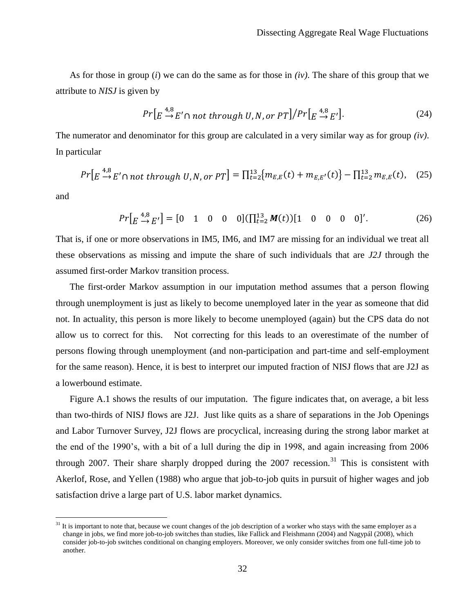As for those in group (*i*) we can do the same as for those in *(iv)*. The share of this group that we attribute to *NISJ* is given by

$$
Pr\left[E \stackrel{4,8}{\rightarrow} E' \cap not \ through \ U, N, or \ PT\right] / Pr\left[E \stackrel{4,8}{\rightarrow} E'\right].
$$
 (24)

The numerator and denominator for this group are calculated in a very similar way as for group *(iv)*. In particular

$$
Pr\left[E \stackrel{4,8}{\to} E' \cap not\ through\ U, N, or\ PT\right] = \prod_{t=2}^{13} \{m_{E,E}(t) + m_{E,E'}(t)\} - \prod_{t=2}^{13} m_{E,E}(t), \quad (25)
$$

and

 $\overline{a}$ 

$$
Pr\left[E \stackrel{4,8}{\to} E'\right] = [0 \quad 1 \quad 0 \quad 0 \quad 0] \left(\prod_{t=2}^{13} M(t)\right) [1 \quad 0 \quad 0 \quad 0 \quad 0]'.
$$
 (26)

That is, if one or more observations in IM5, IM6, and IM7 are missing for an individual we treat all these observations as missing and impute the share of such individuals that are *J2J* through the assumed first-order Markov transition process.

The first-order Markov assumption in our imputation method assumes that a person flowing through unemployment is just as likely to become unemployed later in the year as someone that did not. In actuality, this person is more likely to become unemployed (again) but the CPS data do not allow us to correct for this. Not correcting for this leads to an overestimate of the number of persons flowing through unemployment (and non-participation and part-time and self-employment for the same reason). Hence, it is best to interpret our imputed fraction of NISJ flows that are J2J as a lowerbound estimate.

Figure [A.1](#page-48-0) shows the results of our imputation. The figure indicates that, on average, a bit less than two-thirds of NISJ flows are J2J. Just like quits as a share of separations in the Job Openings and Labor Turnover Survey, J2J flows are procyclical, increasing during the strong labor market at the end of the 1990"s, with a bit of a lull during the dip in 1998, and again increasing from 2006 through 2007. Their share sharply dropped during the  $2007$  recession.<sup>31</sup> This is consistent with Akerlof, Rose, and Yellen (1988) who argue that job-to-job quits in pursuit of higher wages and job satisfaction drive a large part of U.S. labor market dynamics.

 $31$  It is important to note that, because we count changes of the job description of a worker who stays with the same employer as a change in jobs, we find more job-to-job switches than studies, like Fallick and Fleishmann (2004) and Nagypál (2008), which consider job-to-job switches conditional on changing employers. Moreover, we only consider switches from one full-time job to another.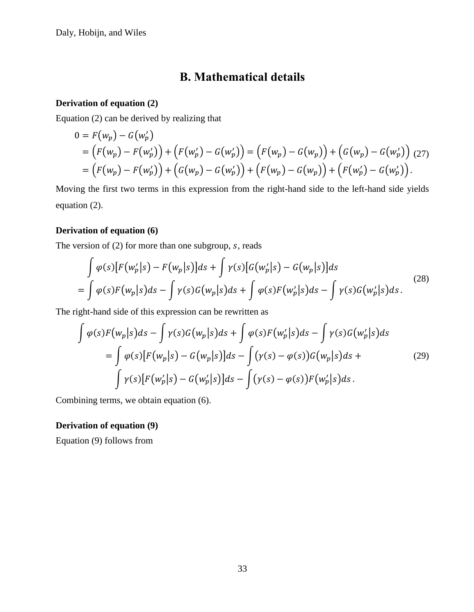# **B. Mathematical details**

### <span id="page-33-0"></span>**Derivation of equation [\(2\)](#page-11-1)**

Equation [\(2\)](#page-11-1) can be derived by realizing that

$$
0 = F(w_p) - G(w'_p)
$$
  
=  $(F(w_p) - F(w'_p)) + (F(w'_p) - G(w'_p)) = (F(w_p) - G(w_p)) + (G(w_p) - G(w'_p))$  (27)  
=  $(F(w_p) - F(w'_p)) + (G(w_p) - G(w'_p)) + (F(w_p) - G(w_p)) + (F(w'_p) - G(w'_p)).$ 

Moving the first two terms in this expression from the right-hand side to the left-hand side yields equation [\(2\).](#page-11-1)

## **Derivation of equation [\(6\)](#page-12-0)**

The version of  $(2)$  for more than one subgroup, s, reads

$$
\int \varphi(s) [F(w'_p|s) - F(w_p|s)]ds + \int \gamma(s) [G(w'_p|s) - G(w_p|s)]ds
$$
\n
$$
= \int \varphi(s) F(w_p|s)ds - \int \gamma(s) G(w_p|s)ds + \int \varphi(s) F(w'_p|s)ds - \int \gamma(s) G(w'_p|s)ds. \tag{28}
$$

The right-hand side of this expression can be rewritten as

$$
\int \varphi(s) F(w_p|s) ds - \int \gamma(s) G(w_p|s) ds + \int \varphi(s) F(w'_p|s) ds - \int \gamma(s) G(w'_p|s) ds
$$
  
= 
$$
\int \varphi(s) [F(w_p|s) - G(w_p|s)] ds - \int (\gamma(s) - \varphi(s)) G(w_p|s) ds +
$$
  

$$
\int \gamma(s) [F(w'_p|s) - G(w'_p|s)] ds - \int (\gamma(s) - \varphi(s)) F(w'_p|s) ds.
$$
 (29)

Combining terms, we obtain equation [\(6\).](#page-12-0)

### **Derivation of equation [\(9\)](#page-13-0)**

Equation [\(9\)](#page-13-0) follows from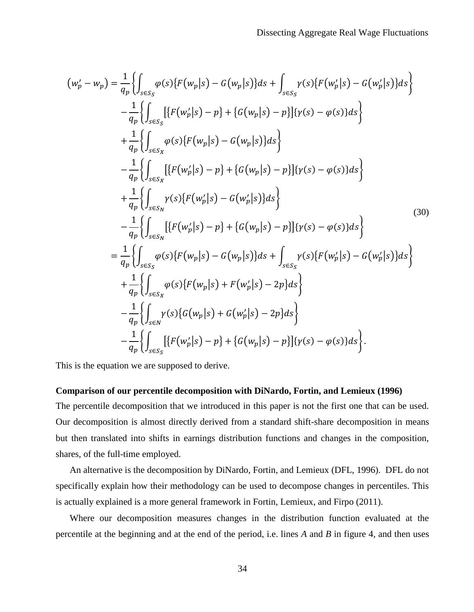$$
(w'_{p} - w_{p}) = \frac{1}{q_{p}} \Biggl\{ \int_{s \in S_{S}} \varphi(s) \{ F(w_{p}|s) - G(w_{p}|s) \} ds + \int_{s \in S_{S}} \gamma(s) \{ F(w'_{p}|s) - G(w'_{p}|s) \} ds \Biggr\} - \frac{1}{q_{p}} \Biggl\{ \int_{s \in S_{S}} \biggl[ \{ F(w'_{p}|s) - p \} + \{ G(w_{p}|s) - p \} \biggl] \{ \gamma(s) - \varphi(s) \} ds \Biggr\} + \frac{1}{q_{p}} \Biggl\{ \int_{s \in S_{X}} \varphi(s) \{ F(w_{p}|s) - G(w_{p}|s) \} ds \Biggr\} - \frac{1}{q_{p}} \Biggl\{ \int_{s \in S_{X}} \biggl[ \{ F(w'_{p}|s) - p \} + \{ G(w_{p}|s) - p \} \biggl] \{ \gamma(s) - \varphi(s) \} ds \Biggr\} + \frac{1}{q_{p}} \Biggl\{ \int_{s \in S_{N}} \gamma(s) \{ F(w'_{p}|s) - G(w'_{p}|s) \} ds \Biggr\} - \frac{1}{q_{p}} \Biggl\{ \int_{s \in S_{N}} \biggl[ \{ F(w'_{p}|s) - p \} + \{ G(w_{p}|s) - p \} \biggl] \{ \gamma(s) - \varphi(s) \} ds \Biggr\} = \frac{1}{q_{p}} \Biggl\{ \int_{s \in S_{S}} \varphi(s) \{ F(w_{p}|s) - G(w_{p}|s) \} ds + \int_{s \in S_{S}} \gamma(s) \{ F(w'_{p}|s) - G(w'_{p}|s) \} ds \Biggr\} + \frac{1}{q_{p}} \Biggl\{ \int_{s \in S_{X}} \varphi(s) \{ F(w_{p}|s) + F(w'_{p}|s) - 2p \} ds \Biggr\} - \frac{1}{q_{p}} \Biggl\{ \int_{s \in S_{X}} \gamma(s) \{ G(w_{p}|s) + G(w'_{p}|s) - 2p \} ds \Biggr\} - \frac{1}{q_{p}} \Biggl\{ \int_{s \in S_{S}} \biggl[ \{ F(w'_{p}|s) - p \} + \{ G(w_{p}|s) - p \} \biggl] \{ \gamma
$$

This is the equation we are supposed to derive.

### **Comparison of our percentile decomposition with DiNardo, Fortin, and Lemieux (1996)**

The percentile decomposition that we introduced in this paper is not the first one that can be used. Our decomposition is almost directly derived from a standard shift-share decomposition in means but then translated into shifts in earnings distribution functions and changes in the composition, shares, of the full-time employed.

An alternative is the decomposition by DiNardo, Fortin, and Lemieux (DFL, 1996). DFL do not specifically explain how their methodology can be used to decompose changes in percentiles. This is actually explained is a more general framework in Fortin, Lemieux, and Firpo (2011).

Where our decomposition measures changes in the distribution function evaluated at the percentile at the beginning and at the end of the period, i.e. lines *A* and *B* in figure [4,](#page-43-0) and then uses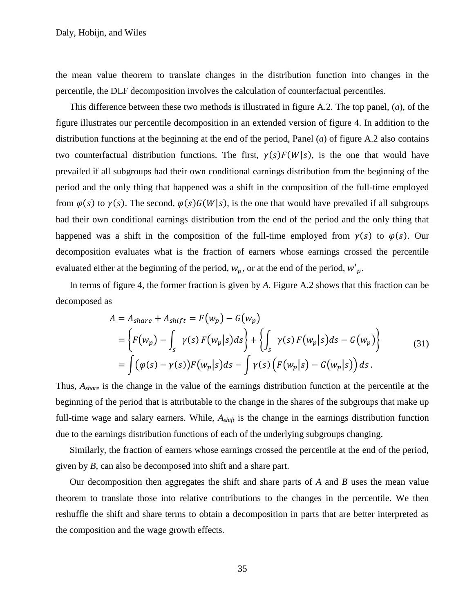the mean value theorem to translate changes in the distribution function into changes in the percentile, the DLF decomposition involves the calculation of counterfactual percentiles.

This difference between these two methods is illustrated in figure [A.2.](#page-49-0) The top panel, (*a*), of the figure illustrates our percentile decomposition in an extended version of figure [4.](#page-43-0) In addition to the distribution functions at the beginning at the end of the period, Panel (*a*) of figure [A.2](#page-49-0) also contains two counterfactual distribution functions. The first,  $\gamma(s) F(W|s)$ , is the one that would have prevailed if all subgroups had their own conditional earnings distribution from the beginning of the period and the only thing that happened was a shift in the composition of the full-time employed from  $\varphi(s)$  to  $\gamma(s)$ . The second,  $\varphi(s)G(W|s)$ , is the one that would have prevailed if all subgroups had their own conditional earnings distribution from the end of the period and the only thing that happened was a shift in the composition of the full-time employed from  $\gamma(s)$  to  $\varphi(s)$ . Our decomposition evaluates what is the fraction of earners whose earnings crossed the percentile evaluated either at the beginning of the period,  $w_p$ , or at the end of the period,  $w_p'$ .

In terms of figure [4,](#page-43-0) the former fraction is given by *A*. Figure [A.2](#page-49-0) shows that this fraction can be decomposed as

$$
A = A_{share} + A_{shift} = F(w_p) - G(w_p)
$$
  
= 
$$
\left\{ F(w_p) - \int_s \gamma(s) F(w_p|s) ds \right\} + \left\{ \int_s \gamma(s) F(w_p|s) ds - G(w_p) \right\}
$$
  
= 
$$
\int (\varphi(s) - \gamma(s)) F(w_p|s) ds - \int \gamma(s) \left( F(w_p|s) - G(w_p|s) \right) ds.
$$
 (31)

Thus, *Ashare* is the change in the value of the earnings distribution function at the percentile at the beginning of the period that is attributable to the change in the shares of the subgroups that make up full-time wage and salary earners. While,  $A_{shift}$  is the change in the earnings distribution function due to the earnings distribution functions of each of the underlying subgroups changing.

Similarly, the fraction of earners whose earnings crossed the percentile at the end of the period, given by *B*, can also be decomposed into shift and a share part.

Our decomposition then aggregates the shift and share parts of *A* and *B* uses the mean value theorem to translate those into relative contributions to the changes in the percentile. We then reshuffle the shift and share terms to obtain a decomposition in parts that are better interpreted as the composition and the wage growth effects.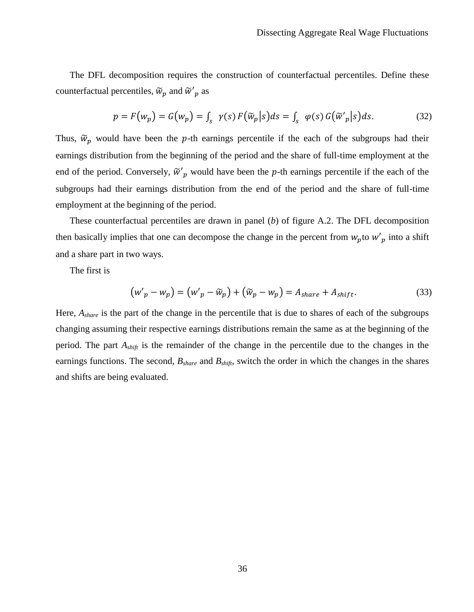The DFL decomposition requires the construction of counterfactual percentiles. Define these counterfactual percentiles,  $\widetilde{w}_p$  and  $\widetilde{w}'_p$  as

$$
p = F(w_p) = G(w_p) = \int_{S} \gamma(s) F(\widetilde{w}_p|s) ds = \int_{S} \varphi(s) G(\widetilde{w}'_p|s) ds. \tag{32}
$$

Thus,  $\tilde{w}_p$  would have been the p-th earnings percentile if the each of the subgroups had their earnings distribution from the beginning of the period and the share of full-time employment at the end of the period. Conversely,  $\tilde{w}'_p$  would have been the p-th earnings percentile if the each of the subgroups had their earnings distribution from the end of the period and the share of full-time employment at the beginning of the period.

These counterfactual percentiles are drawn in panel (*b*) of figure [A.2.](#page-49-0) The DFL decomposition then basically implies that one can decompose the change in the percent from  $w_p$  to  $w'_p$  into a shift and a share part in two ways.

The first is

$$
\left(w'_{p} - w_{p}\right) = \left(w'_{p} - \widetilde{w}_{p}\right) + \left(\widetilde{w}_{p} - w_{p}\right) = A_{share} + A_{shift}.
$$
\n(33)

Here, *Ashare* is the part of the change in the percentile that is due to shares of each of the subgroups changing assuming their respective earnings distributions remain the same as at the beginning of the period. The part *Ashift* is the remainder of the change in the percentile due to the changes in the earnings functions. The second, *Bshare* and *Bshift*, switch the order in which the changes in the shares and shifts are being evaluated.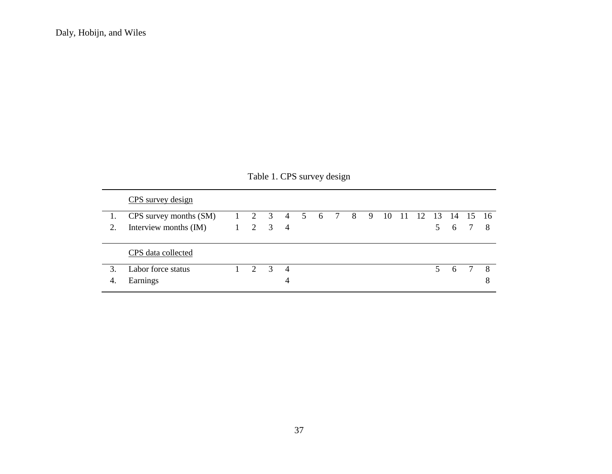|    | TAUIC 1. CI D SUIVCY UCSIGN |                                        |                 |                |                |  |  |  |  |  |  |     |         |  |
|----|-----------------------------|----------------------------------------|-----------------|----------------|----------------|--|--|--|--|--|--|-----|---------|--|
|    | CPS survey design           |                                        |                 |                |                |  |  |  |  |  |  |     |         |  |
|    | CPS survey months (SM)      | 1 2 3 4 5 6 7 8 9 10 11 12 13 14 15 16 |                 |                |                |  |  |  |  |  |  |     |         |  |
| 2. | Interview months (IM)       |                                        | $1 \t2 \t3 \t4$ |                |                |  |  |  |  |  |  |     | 5 6 7 8 |  |
|    | CPS data collected          |                                        |                 |                |                |  |  |  |  |  |  |     |         |  |
| 3. | Labor force status          |                                        | $\mathcal{D}$   | $\overline{3}$ | $\overline{4}$ |  |  |  |  |  |  | 5 6 |         |  |
| 4. | Earnings                    |                                        |                 |                |                |  |  |  |  |  |  |     |         |  |

# <span id="page-37-0"></span>Table 1. CPS survey design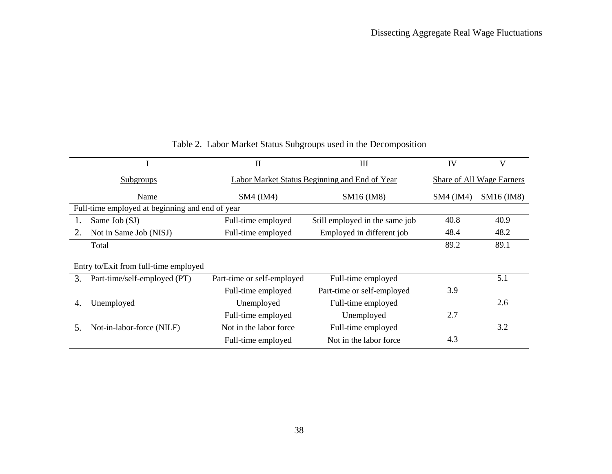|                                                 |                                       | $\mathbf{I}$                                  | III                            | IV          | V          |  |  |  |
|-------------------------------------------------|---------------------------------------|-----------------------------------------------|--------------------------------|-------------|------------|--|--|--|
|                                                 | <b>Subgroups</b>                      | Labor Market Status Beginning and End of Year | Share of All Wage Earners      |             |            |  |  |  |
|                                                 | Name                                  | $SM4$ ( $IM4$ )                               | SM16 (IM8)                     | $SM4$ (IM4) | SM16 (IM8) |  |  |  |
| Full-time employed at beginning and end of year |                                       |                                               |                                |             |            |  |  |  |
|                                                 | Same Job (SJ)                         | Full-time employed                            | Still employed in the same job | 40.8        | 40.9       |  |  |  |
| 2.                                              | Not in Same Job (NISJ)                | Full-time employed                            | Employed in different job      | 48.4        | 48.2       |  |  |  |
|                                                 | Total                                 |                                               |                                | 89.2        | 89.1       |  |  |  |
|                                                 | Entry to/Exit from full-time employed |                                               |                                |             |            |  |  |  |
| 3.                                              | Part-time/self-employed (PT)          | Part-time or self-employed                    | Full-time employed             |             | 5.1        |  |  |  |
|                                                 |                                       | Full-time employed                            | Part-time or self-employed     | 3.9         |            |  |  |  |
| 4.                                              | Unemployed                            | Unemployed                                    | Full-time employed             |             | 2.6        |  |  |  |
|                                                 |                                       | Full-time employed                            | Unemployed                     | 2.7         |            |  |  |  |
| 5.                                              | Not-in-labor-force (NILF)             | Not in the labor force.                       | Full-time employed             |             | 3.2        |  |  |  |
|                                                 |                                       | Full-time employed                            | Not in the labor force.        | 4.3         |            |  |  |  |

# <span id="page-38-0"></span>Table 2. Labor Market Status Subgroups used in the Decomposition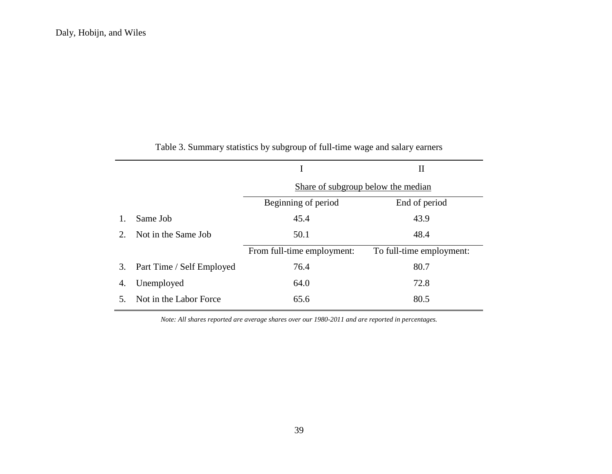|    |                           | I                                  | $\rm II$                 |  |  |  |
|----|---------------------------|------------------------------------|--------------------------|--|--|--|
|    |                           | Share of subgroup below the median |                          |  |  |  |
|    |                           | Beginning of period                | End of period            |  |  |  |
|    | Same Job                  | 45.4                               | 43.9                     |  |  |  |
| 2. | Not in the Same Job       | 50.1                               | 48.4                     |  |  |  |
|    |                           | From full-time employment:         | To full-time employment: |  |  |  |
| 3. | Part Time / Self Employed | 76.4                               | 80.7                     |  |  |  |
| 4. | Unemployed                | 64.0                               | 72.8                     |  |  |  |
|    | Not in the Labor Force    | 65.6                               | 80.5                     |  |  |  |
|    |                           |                                    |                          |  |  |  |

Table 3. Summary statistics by subgroup of full-time wage and salary earners

<span id="page-39-0"></span>*Note: All shares reported are average shares over our 1980-2011 and are reported in percentages.*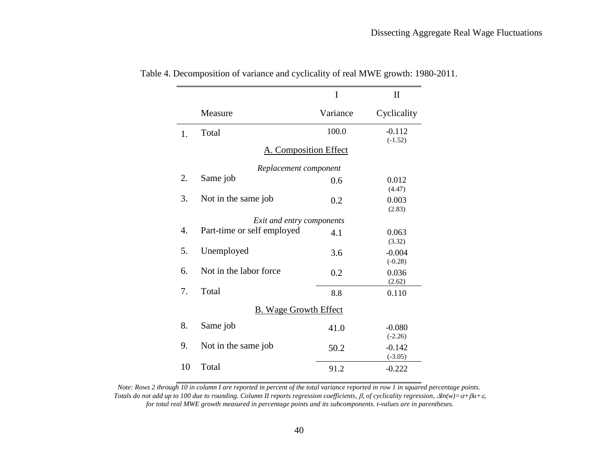<span id="page-40-0"></span>

|                              |                              | I        | $\mathbf{I}$          |  |  |  |  |  |
|------------------------------|------------------------------|----------|-----------------------|--|--|--|--|--|
|                              | Measure                      | Variance | Cyclicality           |  |  |  |  |  |
| 1.                           | Total                        | 100.0    | $-0.112$<br>$(-1.52)$ |  |  |  |  |  |
|                              | <b>A. Composition Effect</b> |          |                       |  |  |  |  |  |
|                              | Replacement component        |          |                       |  |  |  |  |  |
| 2.                           | Same job                     | 0.6      | 0.012<br>(4.47)       |  |  |  |  |  |
| 3.                           | Not in the same job          | 0.2      | 0.003<br>(2.83)       |  |  |  |  |  |
| Exit and entry components    |                              |          |                       |  |  |  |  |  |
| $\overline{4}$ .             | Part-time or self employed   | 4.1      | 0.063<br>(3.32)       |  |  |  |  |  |
| 5.                           | Unemployed                   | 3.6      | $-0.004$<br>$(-0.28)$ |  |  |  |  |  |
| 6.                           | Not in the labor force       | 0.2      | 0.036<br>(2.62)       |  |  |  |  |  |
| 7.                           | Total                        | 8.8      | 0.110                 |  |  |  |  |  |
| <b>B.</b> Wage Growth Effect |                              |          |                       |  |  |  |  |  |
| 8.                           | Same job                     | 41.0     | $-0.080$<br>$(-2.26)$ |  |  |  |  |  |
| 9.                           | Not in the same job          | 50.2     | $-0.142$<br>$(-3.05)$ |  |  |  |  |  |
| 10                           | Total                        | 91.2     | $-0.222$              |  |  |  |  |  |

Table 4. Decomposition of variance and cyclicality of real MWE growth: 1980-2011.

*Note: Rows 2 through 10 in column I are reported in percent of the total variance reported in row 1 in squared percentage points. Totals do not add up to 100 due to rounding. Column II reports regression coefficients,*  $\beta$ *, of cyclicality regression,*  $\Delta ln(w) = \alpha + \beta u + \varepsilon$ *for total real MWE growth measured in percentage points and its subcomponents. t-values are in parentheses.*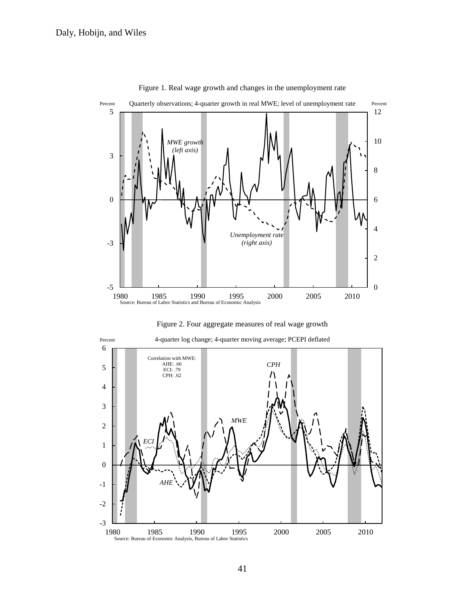

<span id="page-41-0"></span>Figure 1. Real wage growth and changes in the unemployment rate

<span id="page-41-1"></span>



Percent 4-quarter log change; 4-quarter moving average; PCEPI deflated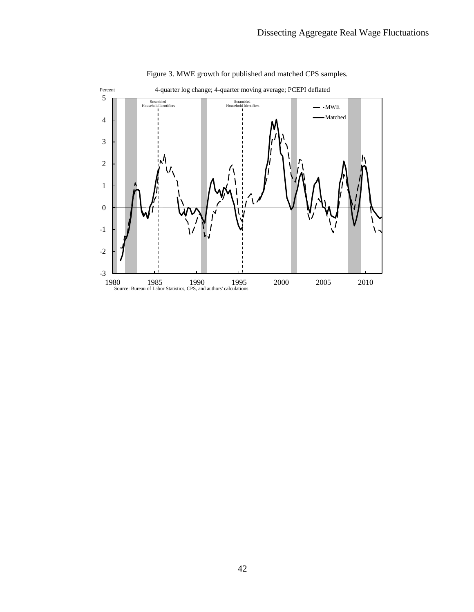

<span id="page-42-0"></span>Figure 3. MWE growth for published and matched CPS samples*.*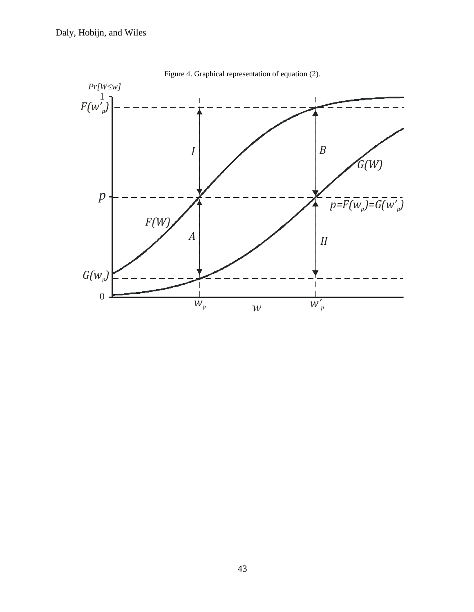

<span id="page-43-0"></span>Figure 4. Graphical representation of equation [\(2\)](#page-11-1)*.*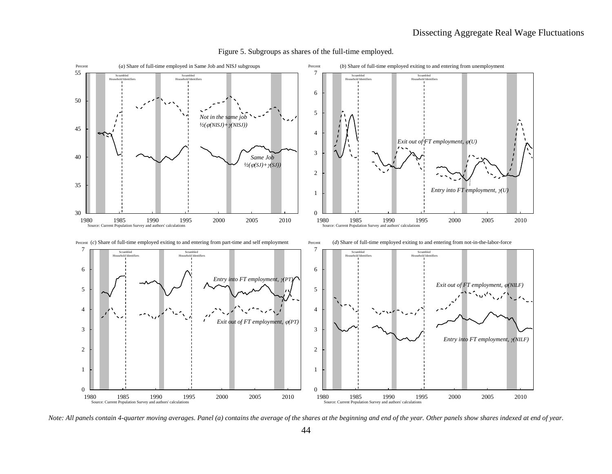

<span id="page-44-0"></span>Figure 5. Subgroups as shares of the full-time employed.

*Note: All panels contain 4-quarter moving averages. Panel (a) contains the average of the shares at the beginning and end of the year. Other panels show shares indexed at end of year.*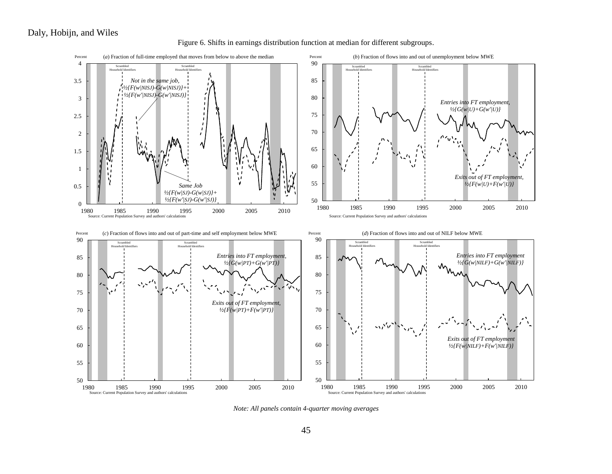<span id="page-45-0"></span>



*Note: All panels contain 4-quarter moving averages*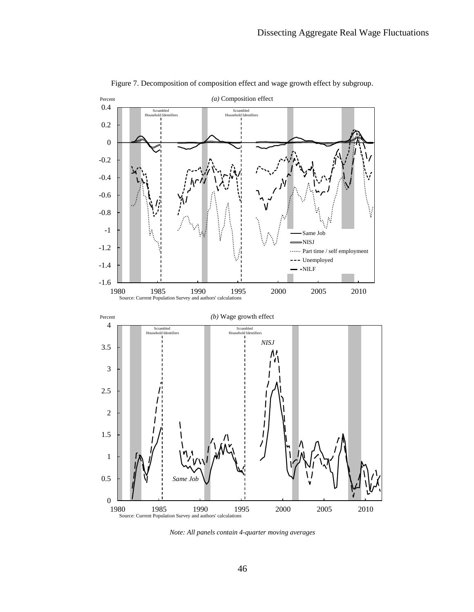

<span id="page-46-0"></span>Figure 7. Decomposition of composition effect and wage growth effect by subgroup*.*

*Note: All panels contain 4-quarter moving averages*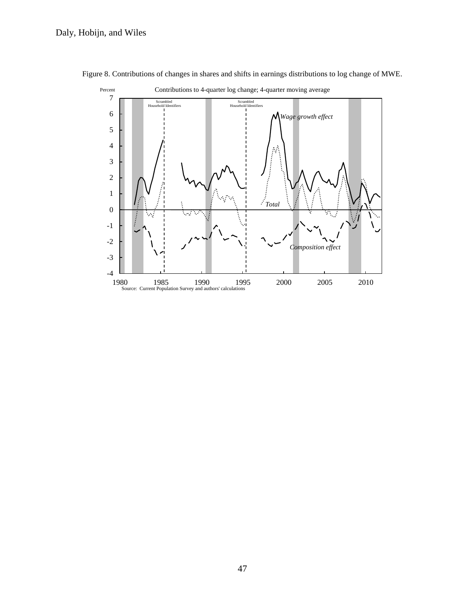<span id="page-47-0"></span>

Figure 8. Contributions of changes in shares and shifts in earnings distributions to log change of MWE*.*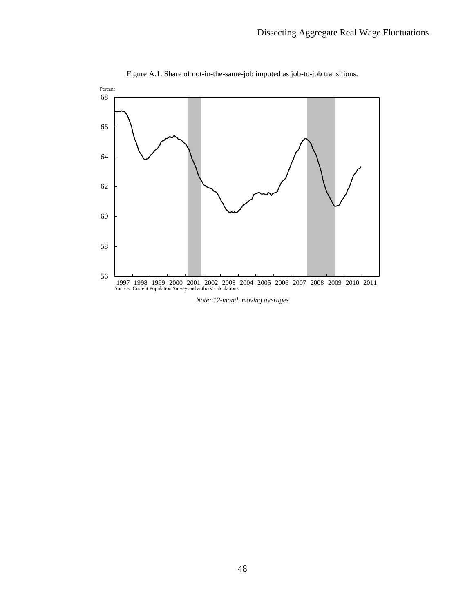

<span id="page-48-0"></span>Figure A.1. Share of not-in-the-same-job imputed as job-to-job transitions*.*